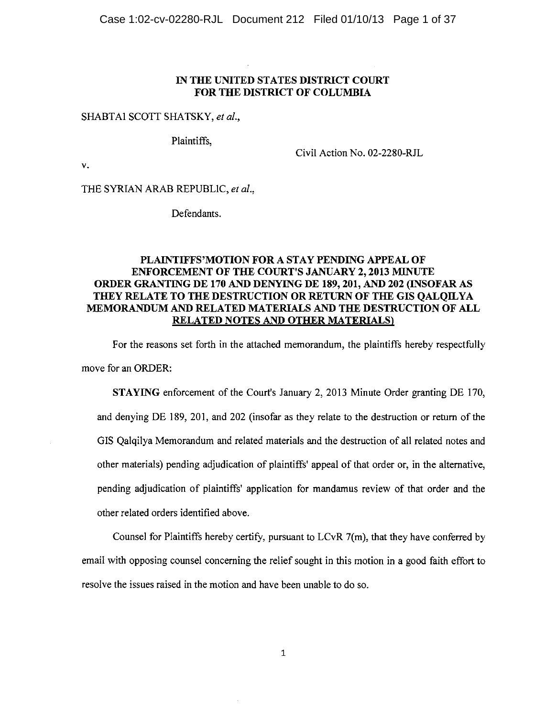### IN THE UNITED STATES DISTRICT COURT FOR THE DISTRICT OF COLUMBIA

#### SHABTAI SCOTT SHATSKY, et al.,

Plaintiffs.

 $\mathbf{v}_*$ 

Civil Action No. 02-2280-RJL

THE SYRIAN ARAB REPUBLIC, et al.,

Defendants.

### PLAINTIFFS'MOTION FOR A STAY PENDING APPEAL OF **ENFORCEMENT OF THE COURT'S JANUARY 2, 2013 MINUTE** ORDER GRANTING DE 170 AND DENYING DE 189, 201, AND 202 (INSOFAR AS THEY RELATE TO THE DESTRUCTION OR RETURN OF THE GIS OALOILYA MEMORANDUM AND RELATED MATERIALS AND THE DESTRUCTION OF ALL RELATED NOTES AND OTHER MATERIALS)

For the reasons set forth in the attached memorandum, the plaintiffs hereby respectfully move for an ORDER:

**STAYING** enforcement of the Court's January 2, 2013 Minute Order granting DE 170, and denying DE 189, 201, and 202 (insofar as they relate to the destruction or return of the GIS Qalqilya Memorandum and related materials and the destruction of all related notes and other materials) pending adjudication of plaintiffs' appeal of that order or, in the alternative, pending adjudication of plaintiffs' application for mandamus review of that order and the other related orders identified above.

Counsel for Plaintiffs hereby certify, pursuant to  $LCVR$  7(m), that they have conferred by email with opposing counsel concerning the relief sought in this motion in a good faith effort to resolve the issues raised in the motion and have been unable to do so.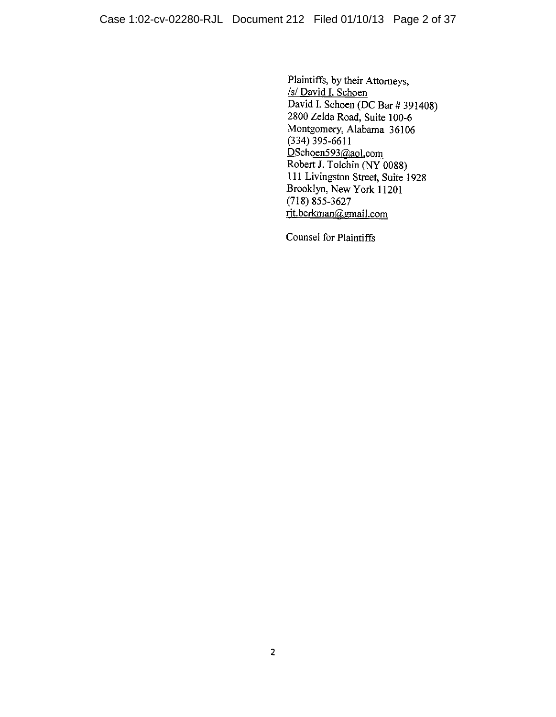Plaintiffs, by their Attorneys, /s/ David I. Schoen David I. Schoen (DC Bar # 391408) 2800 Zelda Road, Suite 100-6 Montgomery, Alabama 36106  $(334)$  395-6611 DSchoen593@aol.com Robert J. Tolchin (NY 0088) 111 Livingston Street, Suite 1928 Brooklyn, New York 11201  $(718)$  855-3627 rit.berkman@gmail.com

Counsel for Plaintiffs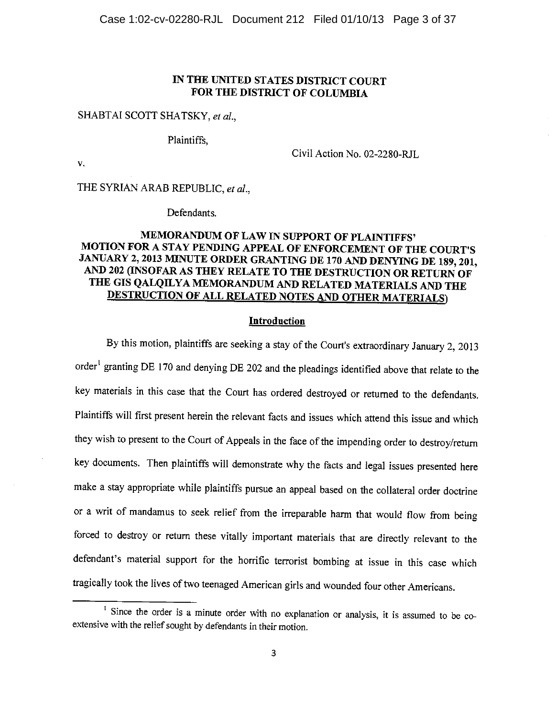### IN THE UNITED STATES DISTRICT COURT FOR THE DISTRICT OF COLUMBIA

#### SHABTAI SCOTT SHATSKY, et al.,

Plaintiffs.

 $\mathbf{v}$ .

Civil Action No. 02-2280-RJL

THE SYRIAN ARAB REPUBLIC, et al.,

Defendants.

### MEMORANDUM OF LAW IN SUPPORT OF PLAINTIFFS' MOTION FOR A STAY PENDING APPEAL OF ENFORCEMENT OF THE COURT'S JANUARY 2, 2013 MINUTE ORDER GRANTING DE 170 AND DENYING DE 189, 201, AND 202 (INSOFAR AS THEY RELATE TO THE DESTRUCTION OR RETURN OF THE GIS QALQILYA MEMORANDUM AND RELATED MATERIALS AND THE **DESTRUCTION OF ALL RELATED NOTES AND OTHER MATERIALS)**

#### Introduction

By this motion, plaintiffs are seeking a stay of the Court's extraordinary January 2, 2013 order<sup>1</sup> granting DE 170 and denying DE 202 and the pleadings identified above that relate to the key materials in this case that the Court has ordered destroyed or returned to the defendants. Plaintiffs will first present herein the relevant facts and issues which attend this issue and which they wish to present to the Court of Appeals in the face of the impending order to destroy/return key documents. Then plaintiffs will demonstrate why the facts and legal issues presented here make a stay appropriate while plaintiffs pursue an appeal based on the collateral order doctrine or a writ of mandamus to seek relief from the irreparable harm that would flow from being forced to destroy or return these vitally important materials that are directly relevant to the defendant's material support for the horrific terrorist bombing at issue in this case which tragically took the lives of two teenaged American girls and wounded four other Americans.

<sup>&</sup>lt;sup>1</sup> Since the order is a minute order with no explanation or analysis, it is assumed to be coextensive with the relief sought by defendants in their motion.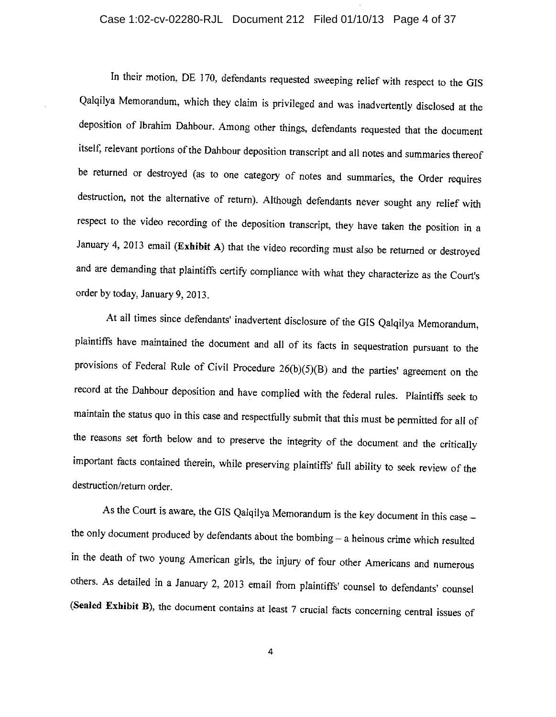### Case 1:02-cv-02280-RJL Document 212 Filed 01/10/13 Page 4 of 37

In their motion, DE 170, defendants requested sweeping relief with respect to the GIS Qalqilya Memorandum, which they claim is privileged and was inadvertently disclosed at the deposition of Ibrahim Dahbour. Among other things, defendants requested that the document itself, relevant portions of the Dahbour deposition transcript and all notes and summaries thereof be returned or destroyed (as to one category of notes and summaries, the Order requires destruction, not the alternative of return). Although defendants never sought any relief with respect to the video recording of the deposition transcript, they have taken the position in a January 4, 2013 email (Exhibit A) that the video recording must also be returned or destroyed and are demanding that plaintiffs certify compliance with what they characterize as the Court's order by today, January 9, 2013.

At all times since defendants' inadvertent disclosure of the GIS Qalqilya Memorandum, plaintiffs have maintained the document and all of its facts in sequestration pursuant to the provisions of Federal Rule of Civil Procedure 26(b)(5)(B) and the parties' agreement on the record at the Dahbour deposition and have complied with the federal rules. Plaintiffs seek to maintain the status quo in this case and respectfully submit that this must be permitted for all of the reasons set forth below and to preserve the integrity of the document and the critically important facts contained therein, while preserving plaintiffs' full ability to seek review of the destruction/return order.

As the Court is aware, the GIS Qalqilya Memorandum is the key document in this case the only document produced by defendants about the bombing - a heinous crime which resulted in the death of two young American girls, the injury of four other Americans and numerous others. As detailed in a January 2, 2013 email from plaintiffs' counsel to defendants' counsel (Sealed Exhibit B), the document contains at least 7 crucial facts concerning central issues of

4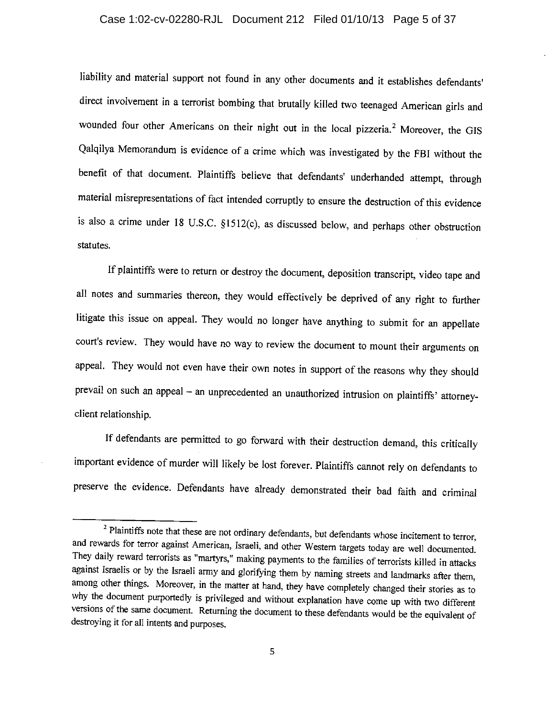### Case 1:02-cv-02280-RJL Document 212 Filed 01/10/13 Page 5 of 37

liability and material support not found in any other documents and it establishes defendants' direct involvement in a terrorist bombing that brutally killed two teenaged American girls and wounded four other Americans on their night out in the local pizzeria.<sup>2</sup> Moreover, the GIS Qalqilya Memorandum is evidence of a crime which was investigated by the FBI without the benefit of that document. Plaintiffs believe that defendants' underhanded attempt, through material misrepresentations of fact intended corruptly to ensure the destruction of this evidence is also a crime under 18 U.S.C. §1512(c), as discussed below, and perhaps other obstruction statutes.

If plaintiffs were to return or destroy the document, deposition transcript, video tape and all notes and summaries thereon, they would effectively be deprived of any right to further litigate this issue on appeal. They would no longer have anything to submit for an appellate court's review. They would have no way to review the document to mount their arguments on appeal. They would not even have their own notes in support of the reasons why they should prevail on such an appeal - an unprecedented an unauthorized intrusion on plaintiffs' attorneyclient relationship.

If defendants are permitted to go forward with their destruction demand, this critically important evidence of murder will likely be lost forever. Plaintiffs cannot rely on defendants to preserve the evidence. Defendants have already demonstrated their bad faith and criminal

<sup>&</sup>lt;sup>2</sup> Plaintiffs note that these are not ordinary defendants, but defendants whose incitement to terror, and rewards for terror against American, Israeli, and other Western targets today are well documented. They daily reward terrorists as "martyrs," making payments to the families of terrorists killed in attacks against Israelis or by the Israeli army and glorifying them by naming streets and landmarks after them, among other things. Moreover, in the matter at hand, they have completely changed their stories as to why the document purportedly is privileged and without explanation have come up with two different versions of the same document. Returning the document to these defendants would be the equivalent of destroying it for all intents and purposes.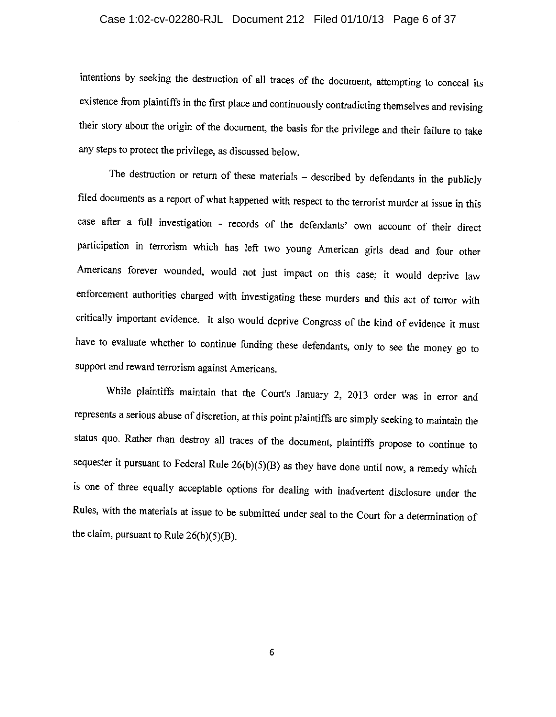### Case 1:02-cv-02280-RJL Document 212 Filed 01/10/13 Page 6 of 37

intentions by seeking the destruction of all traces of the document, attempting to conceal its existence from plaintiffs in the first place and continuously contradicting themselves and revising their story about the origin of the document, the basis for the privilege and their failure to take any steps to protect the privilege, as discussed below.

The destruction or return of these materials – described by defendants in the publicly filed documents as a report of what happened with respect to the terrorist murder at issue in this case after a full investigation - records of the defendants' own account of their direct participation in terrorism which has left two young American girls dead and four other Americans forever wounded, would not just impact on this case; it would deprive law enforcement authorities charged with investigating these murders and this act of terror with critically important evidence. It also would deprive Congress of the kind of evidence it must have to evaluate whether to continue funding these defendants, only to see the money go to support and reward terrorism against Americans.

While plaintiffs maintain that the Court's January 2, 2013 order was in error and represents a serious abuse of discretion, at this point plaintiffs are simply seeking to maintain the status quo. Rather than destroy all traces of the document, plaintiffs propose to continue to sequester it pursuant to Federal Rule  $26(b)(5)(B)$  as they have done until now, a remedy which is one of three equally acceptable options for dealing with inadvertent disclosure under the Rules, with the materials at issue to be submitted under seal to the Court for a determination of the claim, pursuant to Rule  $26(b)(5)(B)$ .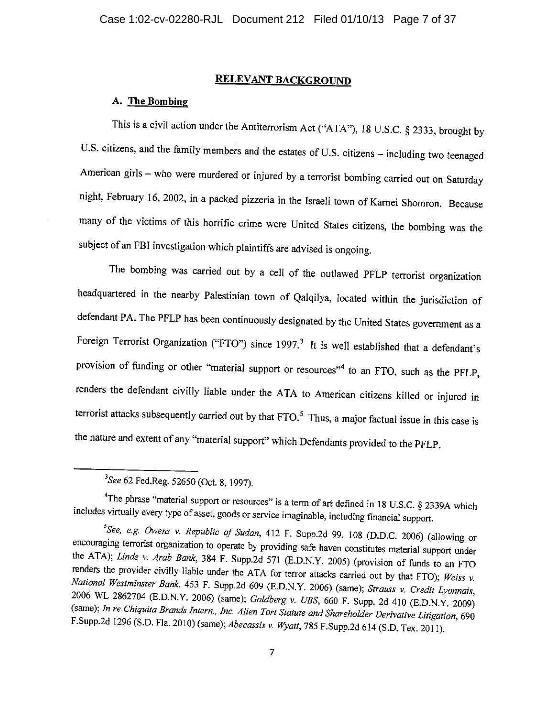### **RELEVANT BACKGROUND**

#### A. The Bombing

This is a civil action under the Antiterrorism Act ("ATA"), 18 U.S.C.  $\S$  2333, brought by U.S. citizens, and the family members and the estates of U.S. citizens - including two teenaged American girls - who were murdered or injured by a terrorist bombing carried out on Saturday night, February 16, 2002, in a packed pizzeria in the Israeli town of Karnei Shomron. Because many of the victims of this horrific crime were United States citizens, the bombing was the subject of an FBI investigation which plaintiffs are advised is ongoing.

The bombing was carried out by a cell of the outlawed PFLP terrorist organization headquartered in the nearby Palestinian town of Qalqilya, located within the jurisdiction of defendant PA. The PFLP has been continuously designated by the United States government as a Foreign Terrorist Organization ("FTO") since 1997.<sup>3</sup> It is well established that a defendant's provision of funding or other "material support or resources"<sup>4</sup> to an FTO, such as the PFLP, renders the defendant civilly liable under the ATA to American citizens killed or injured in terrorist attacks subsequently carried out by that  $FTO$ .<sup>5</sup> Thus, a major factual issue in this case is the nature and extent of any "material support" which Defendants provided to the PFLP.

<sup>&</sup>lt;sup>3</sup>See 62 Fed.Reg. 52650 (Oct. 8, 1997).

<sup>&</sup>lt;sup>4</sup>The phrase "material support or resources" is a term of art defined in 18 U.S.C. § 2339A which includes virtually every type of asset, goods or service imaginable, including financial support.

<sup>&</sup>lt;sup>5</sup>See, e.g. Owens v. Republic of Sudan, 412 F. Supp.2d 99, 108 (D.D.C. 2006) (allowing or encouraging terrorist organization to operate by providing safe haven constitutes material support under the ATA); Linde v. Arab Bank, 384 F. Supp.2d 571 (E.D.N.Y. 2005) (provision of funds to an FTO renders the provider civilly liable under the ATA for terror attacks carried out by that FTO); Weiss  $v$ . National Westminster Bank, 453 F. Supp.2d 609 (E.D.N.Y. 2006) (same); Strauss v. Credit Lyonnais, 2006 WL 2862704 (E.D.N.Y. 2006) (same); Goldberg v. UBS, 660 F. Supp. 2d 410 (E.D.N.Y. 2009) (same); In re Chiquita Brands Intern., Inc. Alien Tort Statute and Shareholder Derivative Litigation, 690 F.Supp.2d 1296 (S.D. Fla. 2010) (same); Abecassis v. Wyatt, 785 F.Supp.2d 614 (S.D. Tex. 2011).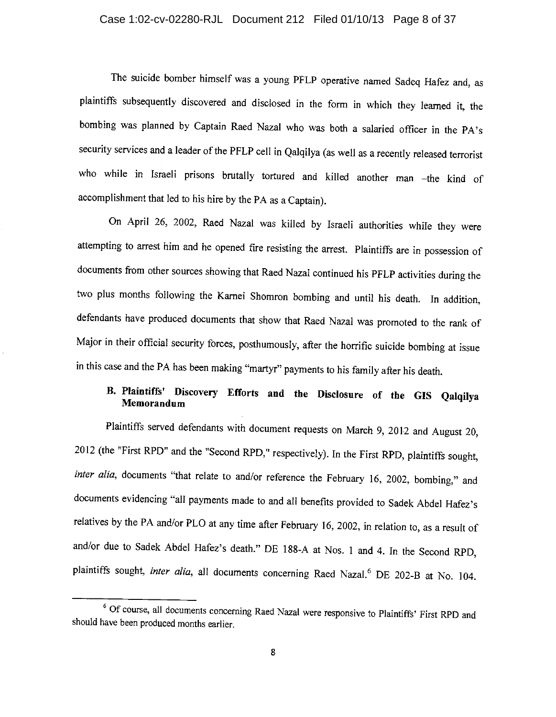### Case 1:02-cv-02280-RJL Document 212 Filed 01/10/13 Page 8 of 37

The suicide bomber himself was a young PFLP operative named Sadeq Hafez and, as plaintiffs subsequently discovered and disclosed in the form in which they learned it, the bombing was planned by Captain Raed Nazal who was both a salaried officer in the PA's security services and a leader of the PFLP cell in Qalqilya (as well as a recently released terrorist who while in Israeli prisons brutally tortured and killed another man -the kind of accomplishment that led to his hire by the PA as a Captain).

On April 26, 2002, Raed Nazal was killed by Israeli authorities while they were attempting to arrest him and he opened fire resisting the arrest. Plaintiffs are in possession of documents from other sources showing that Raed Nazal continued his PFLP activities during the two plus months following the Karnei Shomron bombing and until his death. In addition, defendants have produced documents that show that Raed Nazal was promoted to the rank of Major in their official security forces, posthumously, after the horrific suicide bombing at issue in this case and the PA has been making "martyr" payments to his family after his death.

### B. Plaintiffs' Discovery Efforts and the Disclosure of the GIS Qalqilya Memorandum

Plaintiffs served defendants with document requests on March 9, 2012 and August 20, 2012 (the "First RPD" and the "Second RPD," respectively). In the First RPD, plaintiffs sought, inter alia, documents "that relate to and/or reference the February 16, 2002, bombing," and documents evidencing "all payments made to and all benefits provided to Sadek Abdel Hafez's relatives by the PA and/or PLO at any time after February 16, 2002, in relation to, as a result of and/or due to Sadek Abdel Hafez's death." DE 188-A at Nos. 1 and 4. In the Second RPD, plaintiffs sought, inter alia, all documents concerning Raed Nazal.<sup>6</sup> DE 202-B at No. 104.

<sup>&</sup>lt;sup>6</sup> Of course, all documents concerning Raed Nazal were responsive to Plaintiffs' First RPD and should have been produced months earlier.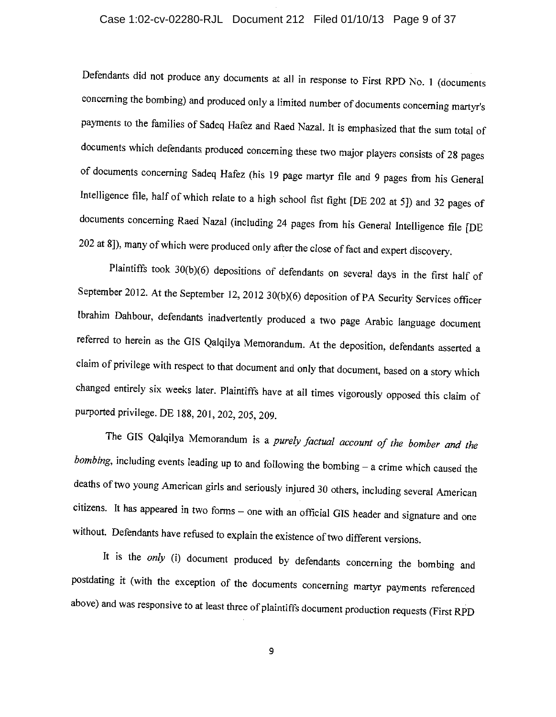### Case 1:02-cv-02280-RJL Document 212 Filed 01/10/13 Page 9 of 37

Defendants did not produce any documents at all in response to First RPD No. 1 (documents concerning the bombing) and produced only a limited number of documents concerning martyr's payments to the families of Sadeq Hafez and Raed Nazal. It is emphasized that the sum total of documents which defendants produced concerning these two major players consists of 28 pages of documents concerning Sadeq Hafez (his 19 page martyr file and 9 pages from his General Intelligence file, half of which relate to a high school fist fight [DE 202 at 5]) and 32 pages of documents concerning Raed Nazal (including 24 pages from his General Intelligence file [DE 202 at 8]), many of which were produced only after the close of fact and expert discovery.

Plaintiffs took 30(b)(6) depositions of defendants on several days in the first half of September 2012. At the September 12, 2012 30(b)(6) deposition of PA Security Services officer Ibrahim Dahbour, defendants inadvertently produced a two page Arabic language document referred to herein as the GIS Qalqilya Memorandum. At the deposition, defendants asserted a claim of privilege with respect to that document and only that document, based on a story which changed entirely six weeks later. Plaintiffs have at all times vigorously opposed this claim of purported privilege. DE 188, 201, 202, 205, 209.

The GIS Qalqilya Memorandum is a purely factual account of the bomber and the  $\textit{bombing}$ , including events leading up to and following the bombing  $-$  a crime which caused the deaths of two young American girls and seriously injured 30 others, including several American citizens. It has appeared in two forms - one with an official GIS header and signature and one without. Defendants have refused to explain the existence of two different versions.

It is the only (i) document produced by defendants concerning the bombing and postdating it (with the exception of the documents concerning martyr payments referenced above) and was responsive to at least three of plaintiffs document production requests (First RPD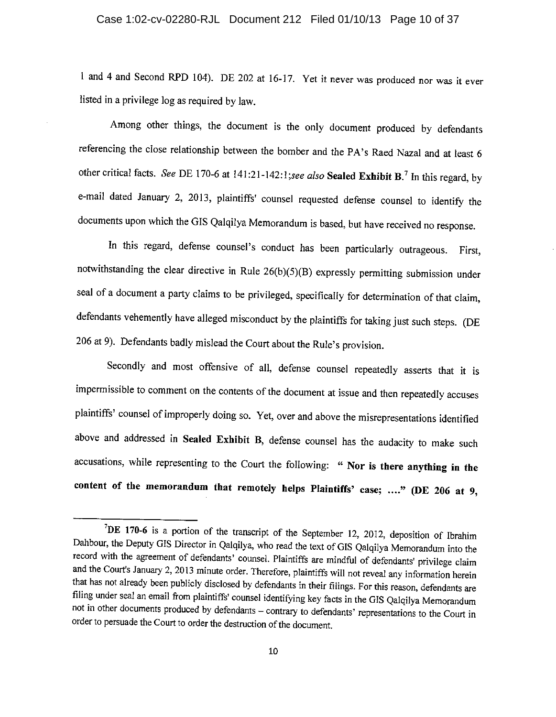1 and 4 and Second RPD 104). DE 202 at 16-17. Yet it never was produced nor was it ever listed in a privilege log as required by law.

Among other things, the document is the only document produced by defendants referencing the close relationship between the bomber and the PA's Raed Nazal and at least 6 other critical facts. See DE 170-6 at 141:21-142:1; see also Sealed Exhibit B.<sup>7</sup> In this regard, by e-mail dated January 2, 2013, plaintiffs' counsel requested defense counsel to identify the documents upon which the GIS Qalqilya Memorandum is based, but have received no response.

In this regard, defense counsel's conduct has been particularly outrageous. First, notwithstanding the clear directive in Rule 26(b)(5)(B) expressly permitting submission under seal of a document a party claims to be privileged, specifically for determination of that claim, defendants vehemently have alleged misconduct by the plaintiffs for taking just such steps. (DE 206 at 9). Defendants badly mislead the Court about the Rule's provision.

Secondly and most offensive of all, defense counsel repeatedly asserts that it is impermissible to comment on the contents of the document at issue and then repeatedly accuses plaintiffs' counsel of improperly doing so. Yet, over and above the misrepresentations identified above and addressed in Sealed Exhibit B, defense counsel has the audacity to make such accusations, while representing to the Court the following: " Nor is there anything in the content of the memorandum that remotely helps Plaintiffs' case; ...." (DE 206 at 9,

<sup>&</sup>lt;sup>7</sup>DE 170-6 is a portion of the transcript of the September 12, 2012, deposition of Ibrahim Dahbour, the Deputy GIS Director in Qalqilya, who read the text of GIS Qalqilya Memorandum into the record with the agreement of defendants' counsel. Plaintiffs are mindful of defendants' privilege claim and the Court's January 2, 2013 minute order. Therefore, plaintiffs will not reveal any information herein that has not already been publicly disclosed by defendants in their filings. For this reason, defendants are filing under seal an email from plaintiffs' counsel identifying key facts in the GIS Qalqilya Memorandum not in other documents produced by defendants - contrary to defendants' representations to the Court in order to persuade the Court to order the destruction of the document.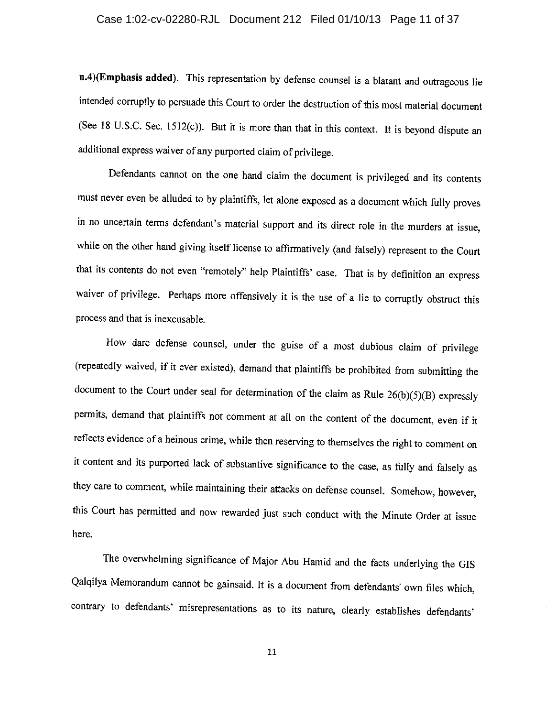#### Case 1:02-cv-02280-RJL Document 212 Filed 01/10/13 Page 11 of 37

n.4)(Emphasis added). This representation by defense counsel is a blatant and outrageous lie intended corruptly to persuade this Court to order the destruction of this most material document (See 18 U.S.C. Sec. 1512(c)). But it is more than that in this context. It is beyond dispute an additional express waiver of any purported claim of privilege.

Defendants cannot on the one hand claim the document is privileged and its contents must never even be alluded to by plaintiffs, let alone exposed as a document which fully proves in no uncertain terms defendant's material support and its direct role in the murders at issue, while on the other hand giving itself license to affirmatively (and falsely) represent to the Court that its contents do not even "remotely" help Plaintiffs' case. That is by definition an express waiver of privilege. Perhaps more offensively it is the use of a lie to corruptly obstruct this process and that is inexcusable.

How dare defense counsel, under the guise of a most dubious claim of privilege (repeatedly waived, if it ever existed), demand that plaintiffs be prohibited from submitting the document to the Court under seal for determination of the claim as Rule  $26(b)(5)(B)$  expressly permits, demand that plaintiffs not comment at all on the content of the document, even if it reflects evidence of a heinous crime, while then reserving to themselves the right to comment on it content and its purported lack of substantive significance to the case, as fully and falsely as they care to comment, while maintaining their attacks on defense counsel. Somehow, however, this Court has permitted and now rewarded just such conduct with the Minute Order at issue here.

The overwhelming significance of Major Abu Hamid and the facts underlying the GIS Qalqilya Memorandum cannot be gainsaid. It is a document from defendants' own files which, contrary to defendants' misrepresentations as to its nature, clearly establishes defendants'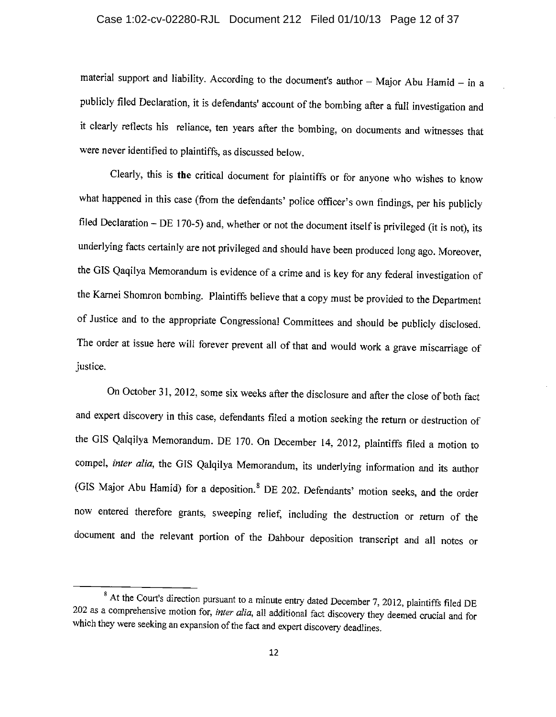### Case 1:02-cv-02280-RJL Document 212 Filed 01/10/13 Page 12 of 37

material support and liability. According to the document's author - Major Abu Hamid - in a publicly filed Declaration, it is defendants' account of the bombing after a full investigation and it clearly reflects his reliance, ten years after the bombing, on documents and witnesses that were never identified to plaintiffs, as discussed below.

Clearly, this is the critical document for plaintiffs or for anyone who wishes to know what happened in this case (from the defendants' police officer's own findings, per his publicly filed Declaration - DE 170-5) and, whether or not the document itself is privileged (it is not), its underlying facts certainly are not privileged and should have been produced long ago. Moreover, the GIS Qaqilya Memorandum is evidence of a crime and is key for any federal investigation of the Karnei Shomron bombing. Plaintiffs believe that a copy must be provided to the Department of Justice and to the appropriate Congressional Committees and should be publicly disclosed. The order at issue here will forever prevent all of that and would work a grave miscarriage of justice.

On October 31, 2012, some six weeks after the disclosure and after the close of both fact and expert discovery in this case, defendants filed a motion seeking the return or destruction of the GIS Qalqilya Memorandum. DE 170. On December 14, 2012, plaintiffs filed a motion to compel, inter alia, the GIS Qalqilya Memorandum, its underlying information and its author (GIS Major Abu Hamid) for a deposition.<sup>8</sup> DE 202. Defendants' motion seeks, and the order now entered therefore grants, sweeping relief, including the destruction or return of the document and the relevant portion of the Dahbour deposition transcript and all notes or

<sup>&</sup>lt;sup>8</sup> At the Court's direction pursuant to a minute entry dated December 7, 2012, plaintiffs filed DE 202 as a comprehensive motion for, inter alia, all additional fact discovery they deemed crucial and for which they were seeking an expansion of the fact and expert discovery deadlines.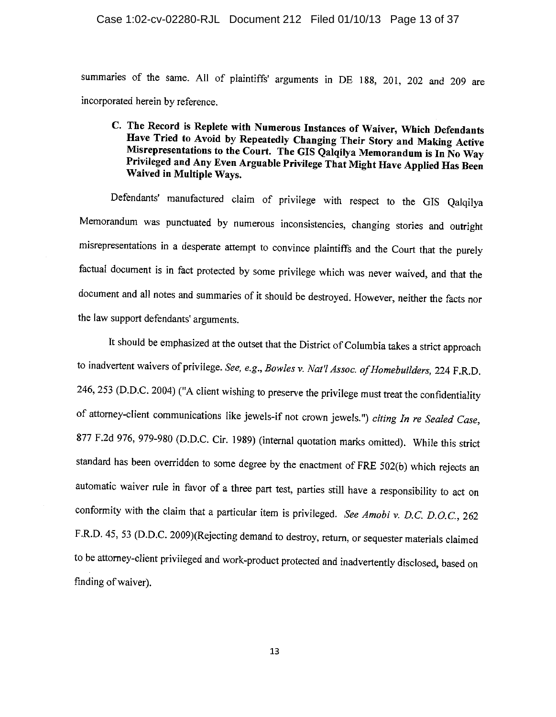#### Case 1:02-cv-02280-RJL Document 212 Filed 01/10/13 Page 13 of 37

summaries of the same. All of plaintiffs' arguments in DE 188, 201, 202 and 209 are incorporated herein by reference.

### C. The Record is Replete with Numerous Instances of Waiver, Which Defendants Have Tried to Avoid by Repeatedly Changing Their Story and Making Active Misrepresentations to the Court. The GIS Qalqilya Memorandum is In No Way Privileged and Any Even Arguable Privilege That Might Have Applied Has Been Waived in Multiple Ways.

Defendants' manufactured claim of privilege with respect to the GIS Qalqilya Memorandum was punctuated by numerous inconsistencies, changing stories and outright misrepresentations in a desperate attempt to convince plaintiffs and the Court that the purely factual document is in fact protected by some privilege which was never waived, and that the document and all notes and summaries of it should be destroyed. However, neither the facts nor the law support defendants' arguments.

It should be emphasized at the outset that the District of Columbia takes a strict approach to inadvertent waivers of privilege. See, e.g., Bowles v. Nat'l Assoc. of Homebuilders, 224 F.R.D. 246, 253 (D.D.C. 2004) ("A client wishing to preserve the privilege must treat the confidentiality of attorney-client communications like jewels-if not crown jewels.") citing In re Sealed Case, 877 F.2d 976, 979-980 (D.D.C. Cir. 1989) (internal quotation marks omitted). While this strict standard has been overridden to some degree by the enactment of FRE 502(b) which rejects an automatic waiver rule in favor of a three part test, parties still have a responsibility to act on conformity with the claim that a particular item is privileged. See Amobi v. D.C. D.O.C., 262 F.R.D. 45, 53 (D.D.C. 2009)(Rejecting demand to destroy, return, or sequester materials claimed to be attorney-client privileged and work-product protected and inadvertently disclosed, based on finding of waiver).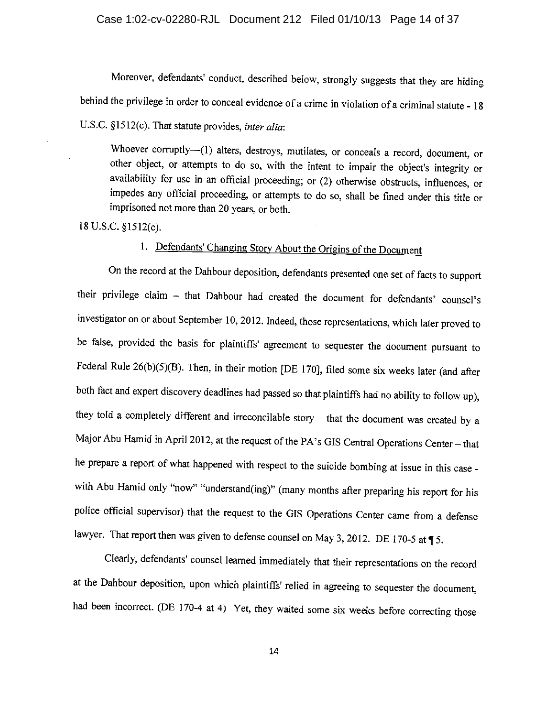Moreover, defendants' conduct, described below, strongly suggests that they are hiding behind the privilege in order to conceal evidence of a crime in violation of a criminal statute - 18

U.S.C. §1512(c). That statute provides, *inter alia*:

Whoever corruptly--(1) alters, destroys, mutilates, or conceals a record, document, or other object, or attempts to do so, with the intent to impair the object's integrity or availability for use in an official proceeding; or (2) otherwise obstructs, influences, or impedes any official proceeding, or attempts to do so, shall be fined under this title or imprisoned not more than 20 years, or both.

18 U.S.C. §1512(c).

# 1. Defendants' Changing Story About the Origins of the Document

On the record at the Dahbour deposition, defendants presented one set of facts to support their privilege claim - that Dahbour had created the document for defendants' counsel's investigator on or about September 10, 2012. Indeed, those representations, which later proved to be false, provided the basis for plaintiffs' agreement to sequester the document pursuant to Federal Rule  $26(b)(5)(B)$ . Then, in their motion [DE 170], filed some six weeks later (and after both fact and expert discovery deadlines had passed so that plaintiffs had no ability to follow up), they told a completely different and irreconcilable story  $-$  that the document was created by a Major Abu Hamid in April 2012, at the request of the PA's GIS Central Operations Center - that he prepare a report of what happened with respect to the suicide bombing at issue in this case with Abu Hamid only "now" "understand(ing)" (many months after preparing his report for his police official supervisor) that the request to the GIS Operations Center came from a defense lawyer. That report then was given to defense counsel on May 3, 2012. DE 170-5 at  $\P$  5.

Clearly, defendants' counsel learned immediately that their representations on the record at the Dahbour deposition, upon which plaintiffs' relied in agreeing to sequester the document, had been incorrect. (DE 170-4 at 4) Yet, they waited some six weeks before correcting those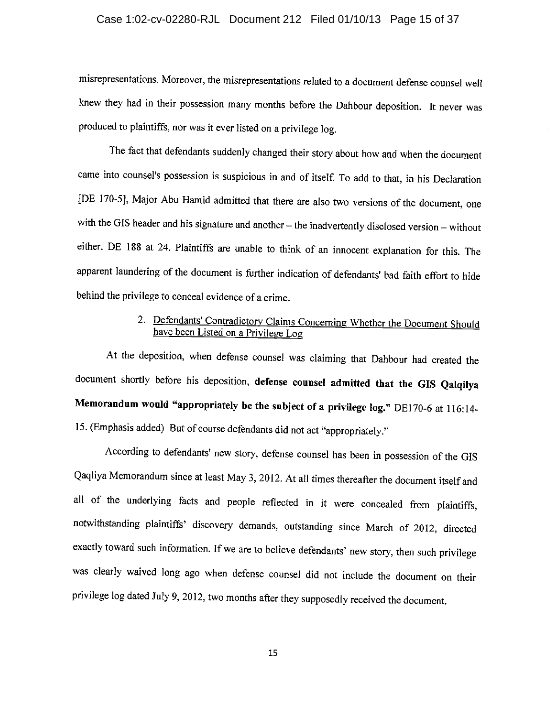### Case 1:02-cv-02280-RJL Document 212 Filed 01/10/13 Page 15 of 37

misrepresentations. Moreover, the misrepresentations related to a document defense counsel well knew they had in their possession many months before the Dahbour deposition. It never was produced to plaintiffs, nor was it ever listed on a privilege log.

The fact that defendants suddenly changed their story about how and when the document came into counsel's possession is suspicious in and of itself. To add to that, in his Declaration [DE 170-5], Major Abu Hamid admitted that there are also two versions of the document, one with the GIS header and his signature and another - the inadvertently disclosed version - without either. DE 188 at 24. Plaintiffs are unable to think of an innocent explanation for this. The apparent laundering of the document is further indication of defendants' bad faith effort to hide behind the privilege to conceal evidence of a crime.

### 2. Defendants' Contradictory Claims Concerning Whether the Document Should have been Listed on a Privilege Log

At the deposition, when defense counsel was claiming that Dahbour had created the document shortly before his deposition, defense counsel admitted that the GIS Qalqilya Memorandum would "appropriately be the subject of a privilege log." DE170-6 at 116:14-15. (Emphasis added) But of course defendants did not act "appropriately."

According to defendants' new story, defense counsel has been in possession of the GIS Qaqliya Memorandum since at least May 3, 2012. At all times thereafter the document itself and all of the underlying facts and people reflected in it were concealed from plaintiffs, notwithstanding plaintiffs' discovery demands, outstanding since March of 2012, directed exactly toward such information. If we are to believe defendants' new story, then such privilege was clearly waived long ago when defense counsel did not include the document on their privilege log dated July 9, 2012, two months after they supposedly received the document.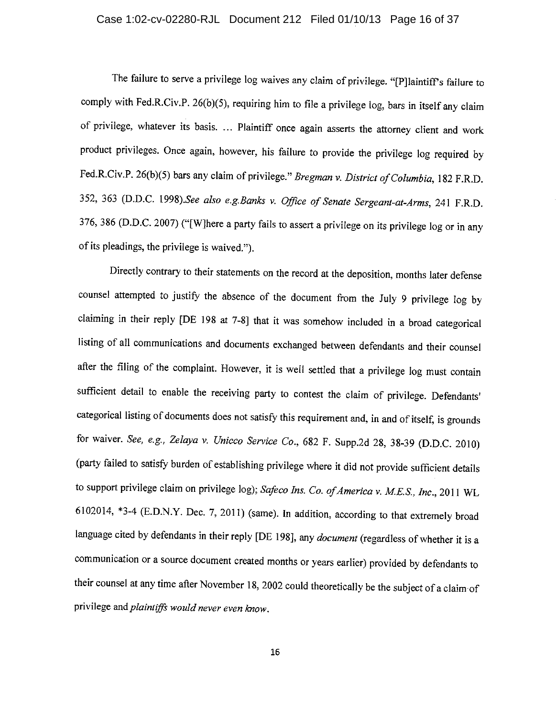### Case 1:02-cv-02280-RJL Document 212 Filed 01/10/13 Page 16 of 37

The failure to serve a privilege log waives any claim of privilege. "[P]laintiff's failure to comply with Fed.R.Civ.P. 26(b)(5), requiring him to file a privilege log, bars in itself any claim of privilege, whatever its basis. ... Plaintiff once again asserts the attorney client and work product privileges. Once again, however, his failure to provide the privilege log required by Fed.R.Civ.P. 26(b)(5) bars any claim of privilege." Bregman v. District of Columbia, 182 F.R.D. 352, 363 (D.D.C. 1998).See also e.g.Banks v. Office of Senate Sergeant-at-Arms, 241 F.R.D. 376, 386 (D.D.C. 2007) ("[W]here a party fails to assert a privilege on its privilege log or in any of its pleadings, the privilege is waived.").

Directly contrary to their statements on the record at the deposition, months later defense counsel attempted to justify the absence of the document from the July 9 privilege log by claiming in their reply [DE 198 at 7-8] that it was somehow included in a broad categorical listing of all communications and documents exchanged between defendants and their counsel after the filing of the complaint. However, it is well settled that a privilege log must contain sufficient detail to enable the receiving party to contest the claim of privilege. Defendants' categorical listing of documents does not satisfy this requirement and, in and of itself, is grounds for waiver. See, e.g., Zelaya v. Unicco Service Co., 682 F. Supp.2d 28, 38-39 (D.D.C. 2010) (party failed to satisfy burden of establishing privilege where it did not provide sufficient details to support privilege claim on privilege log); Safeco Ins. Co. of America v. M.E.S., Inc., 2011 WL 6102014, \*3-4 (E.D.N.Y. Dec. 7, 2011) (same). In addition, according to that extremely broad language cited by defendants in their reply [DE 198], any document (regardless of whether it is a communication or a source document created months or years earlier) provided by defendants to their counsel at any time after November 18, 2002 could theoretically be the subject of a claim of privilege and plaintiffs would never even know.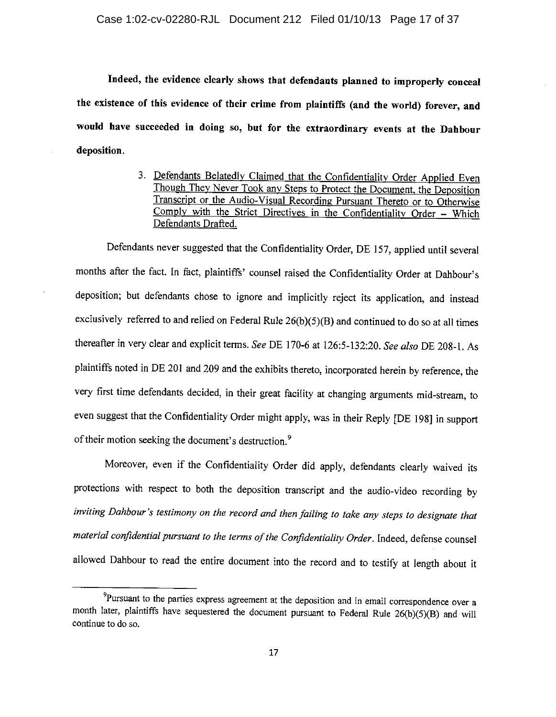Indeed, the evidence clearly shows that defendants planned to improperly conceal the existence of this evidence of their crime from plaintiffs (and the world) forever, and would have succeeded in doing so, but for the extraordinary events at the Dahbour deposition.

> 3. Defendants Belatedly Claimed that the Confidentiality Order Applied Even Though They Never Took any Steps to Protect the Document, the Deposition Transcript or the Audio-Visual Recording Pursuant Thereto or to Otherwise Comply with the Strict Directives in the Confidentiality Order - Which Defendants Drafted.

Defendants never suggested that the Confidentiality Order, DE 157, applied until several months after the fact. In fact, plaintiffs' counsel raised the Confidentiality Order at Dahbour's deposition; but defendants chose to ignore and implicitly reject its application, and instead exclusively referred to and relied on Federal Rule 26(b)(5)(B) and continued to do so at all times thereafter in very clear and explicit terms. See DE 170-6 at 126:5-132:20. See also DE 208-1. As plaintiffs noted in DE 201 and 209 and the exhibits thereto, incorporated herein by reference, the very first time defendants decided, in their great facility at changing arguments mid-stream, to even suggest that the Confidentiality Order might apply, was in their Reply [DE 198] in support of their motion seeking the document's destruction.<sup>9</sup>

Moreover, even if the Confidentiality Order did apply, defendants clearly waived its protections with respect to both the deposition transcript and the audio-video recording by inviting Dahbour's testimony on the record and then failing to take any steps to designate that material confidential pursuant to the terms of the Confidentiality Order. Indeed, defense counsel allowed Dahbour to read the entire document into the record and to testify at length about it

<sup>&</sup>lt;sup>9</sup>Pursuant to the parties express agreement at the deposition and in email correspondence over a month later, plaintiffs have sequestered the document pursuant to Federal Rule 26(b)(5)(B) and will continue to do so.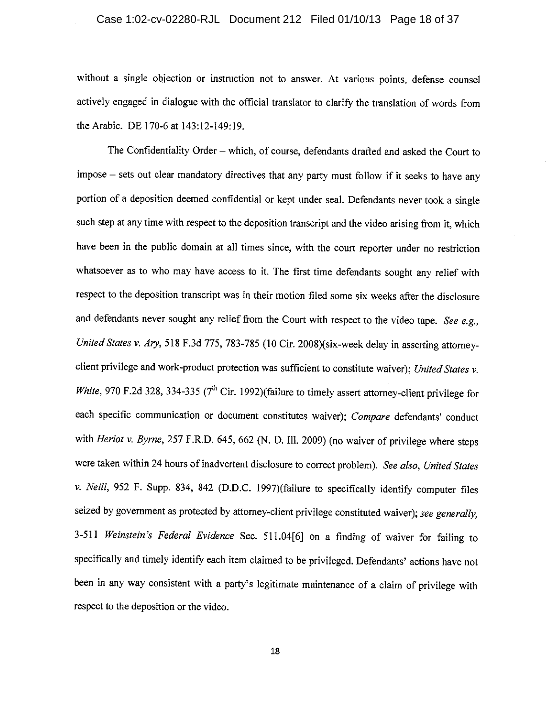### Case 1:02-cv-02280-RJL Document 212 Filed 01/10/13 Page 18 of 37

without a single objection or instruction not to answer. At various points, defense counsel actively engaged in dialogue with the official translator to clarify the translation of words from the Arabic. DE 170-6 at 143:12-149:19.

The Confidentiality Order - which, of course, defendants drafted and asked the Court to impose - sets out clear mandatory directives that any party must follow if it seeks to have any portion of a deposition deemed confidential or kept under seal. Defendants never took a single such step at any time with respect to the deposition transcript and the video arising from it, which have been in the public domain at all times since, with the court reporter under no restriction whatsoever as to who may have access to it. The first time defendants sought any relief with respect to the deposition transcript was in their motion filed some six weeks after the disclosure and defendants never sought any relief from the Court with respect to the video tape. See e.g., United States v. Ary, 518 F.3d 775, 783-785 (10 Cir. 2008)(six-week delay in asserting attorneyclient privilege and work-product protection was sufficient to constitute waiver); United States v. White, 970 F.2d 328, 334-335 ( $7<sup>th</sup>$  Cir. 1992)(failure to timely assert attorney-client privilege for each specific communication or document constitutes waiver); Compare defendants' conduct with Heriot v. Byrne, 257 F.R.D. 645, 662 (N. D. III. 2009) (no waiver of privilege where steps were taken within 24 hours of inadvertent disclosure to correct problem). See also, United States v. Neill, 952 F. Supp. 834, 842 (D.D.C. 1997)(failure to specifically identify computer files seized by government as protected by attorney-client privilege constituted waiver); see generally, 3-511 Weinstein's Federal Evidence Sec. 511.04[6] on a finding of waiver for failing to specifically and timely identify each item claimed to be privileged. Defendants' actions have not been in any way consistent with a party's legitimate maintenance of a claim of privilege with respect to the deposition or the video.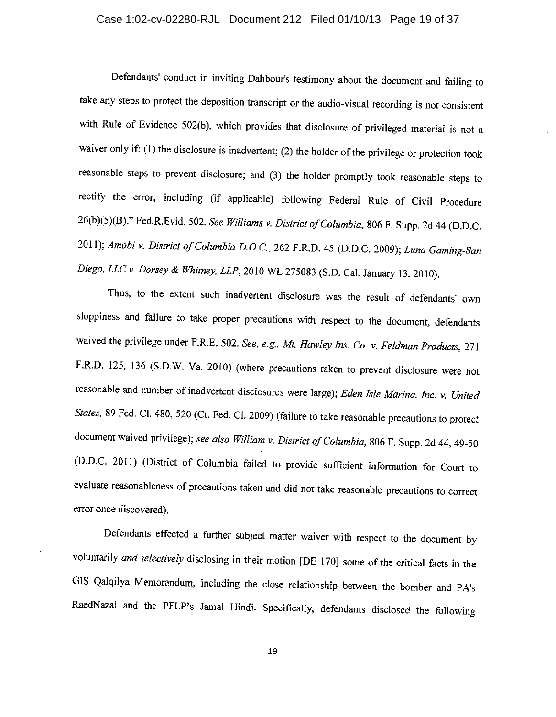### Case 1:02-cv-02280-RJL Document 212 Filed 01/10/13 Page 19 of 37

Defendants' conduct in inviting Dahbour's testimony about the document and failing to take any steps to protect the deposition transcript or the audio-visual recording is not consistent with Rule of Evidence 502(b), which provides that disclosure of privileged material is not a waiver only if: (1) the disclosure is inadvertent; (2) the holder of the privilege or protection took reasonable steps to prevent disclosure; and (3) the holder promptly took reasonable steps to rectify the error, including (if applicable) following Federal Rule of Civil Procedure 26(b)(5)(B)." Fed.R.Evid. 502. See Williams v. District of Columbia, 806 F. Supp. 2d 44 (D.D.C. 2011); Amobi v. District of Columbia D.O.C., 262 F.R.D. 45 (D.D.C. 2009); Luna Gaming-San Diego, LLC v. Dorsey & Whitney, LLP, 2010 WL 275083 (S.D. Cal. January 13, 2010).

Thus, to the extent such inadvertent disclosure was the result of defendants' own sloppiness and failure to take proper precautions with respect to the document, defendants waived the privilege under F.R.E. 502. See, e.g., Mt. Hawley Ins. Co. v. Feldman Products, 271 F.R.D. 125, 136 (S.D.W. Va. 2010) (where precautions taken to prevent disclosure were not reasonable and number of inadvertent disclosures were large); Eden Isle Marina, Inc. v. United States, 89 Fed. Cl. 480, 520 (Ct. Fed. Cl. 2009) (failure to take reasonable precautions to protect document waived privilege); see also William v. District of Columbia, 806 F. Supp. 2d 44, 49-50 (D.D.C. 2011) (District of Columbia failed to provide sufficient information for Court to evaluate reasonableness of precautions taken and did not take reasonable precautions to correct error once discovered).

Defendants effected a further subject matter waiver with respect to the document by voluntarily and selectively disclosing in their motion [DE 170] some of the critical facts in the G1S Qalqilya Memorandum, including the close relationship between the bomber and PA's RaedNazal and the PFLP's Jamal Hindi. Specifically, defendants disclosed the following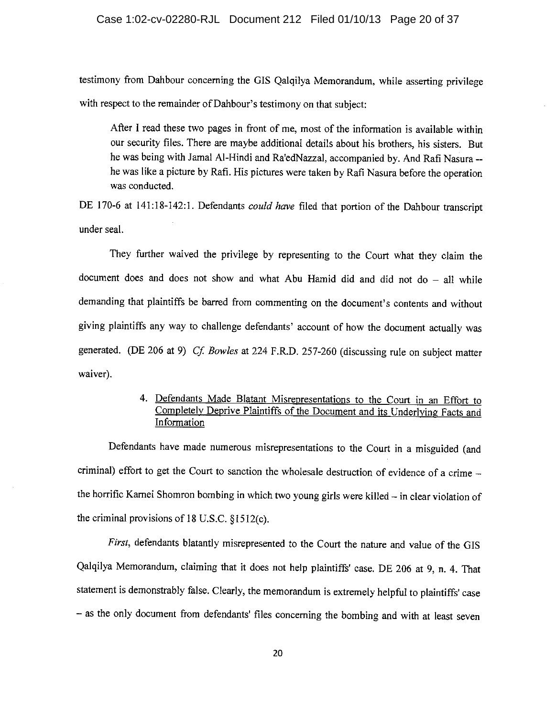### Case 1:02-cv-02280-RJL Document 212 Filed 01/10/13 Page 20 of 37

testimony from Dahbour concerning the GIS Qalqilya Memorandum, while asserting privilege with respect to the remainder of Dahbour's testimony on that subject:

After I read these two pages in front of me, most of the information is available within our security files. There are maybe additional details about his brothers, his sisters. But he was being with Jamal Al-Hindi and Ra'edNazzal, accompanied by. And Rafi Nasura -he was like a picture by Rafi. His pictures were taken by Rafi Nasura before the operation was conducted.

DE 170-6 at 141:18-142:1. Defendants could have filed that portion of the Dahbour transcript under seal.

They further waived the privilege by representing to the Court what they claim the document does and does not show and what Abu Hamid did and did not  $d_0$  – all while demanding that plaintiffs be barred from commenting on the document's contents and without giving plaintiffs any way to challenge defendants' account of how the document actually was generated. (DE 206 at 9) Cf. Bowles at 224 F.R.D. 257-260 (discussing rule on subject matter waiver).

### 4. Defendants Made Blatant Misrepresentations to the Court in an Effort to Completely Deprive Plaintiffs of the Document and its Underlying Facts and Information

Defendants have made numerous misrepresentations to the Court in a misguided (and criminal) effort to get the Court to sanction the wholesale destruction of evidence of a crime the horrific Karnei Shomron bombing in which two young girls were killed - in clear violation of the criminal provisions of  $18$  U.S.C.  $§1512(c)$ .

First, defendants blatantly misrepresented to the Court the nature and value of the GIS Qalqilya Memorandum, claiming that it does not help plaintiffs' case. DE 206 at 9, n. 4. That statement is demonstrably false. Clearly, the memorandum is extremely helpful to plaintiffs' case - as the only document from defendants' files concerning the bombing and with at least seven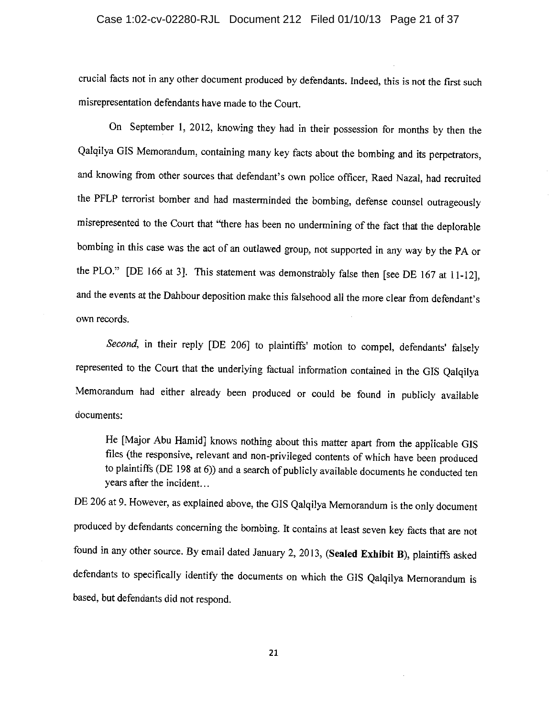### Case 1:02-cv-02280-RJL Document 212 Filed 01/10/13 Page 21 of 37

crucial facts not in any other document produced by defendants. Indeed, this is not the first such misrepresentation defendants have made to the Court.

On September 1, 2012, knowing they had in their possession for months by then the Qalqilya GIS Memorandum, containing many key facts about the bombing and its perpetrators, and knowing from other sources that defendant's own police officer, Raed Nazal, had recruited the PFLP terrorist bomber and had masterminded the bombing, defense counsel outrageously misrepresented to the Court that "there has been no undermining of the fact that the deplorable bombing in this case was the act of an outlawed group, not supported in any way by the PA or the PLO." [DE 166 at 3]. This statement was demonstrably false then [see DE 167 at 11-12], and the events at the Dahbour deposition make this falsehood all the more clear from defendant's own records.

Second, in their reply [DE 206] to plaintiffs' motion to compel, defendants' falsely represented to the Court that the underlying factual information contained in the GIS Qalqilya Memorandum had either already been produced or could be found in publicly available documents:

He [Major Abu Hamid] knows nothing about this matter apart from the applicable GIS files (the responsive, relevant and non-privileged contents of which have been produced to plaintiffs (DE 198 at 6)) and a search of publicly available documents he conducted ten years after the incident...

DE 206 at 9. However, as explained above, the GIS Qalqilya Memorandum is the only document produced by defendants concerning the bombing. It contains at least seven key facts that are not found in any other source. By email dated January 2, 2013, (Sealed Exhibit B), plaintiffs asked defendants to specifically identify the documents on which the GIS Qalqilya Memorandum is based, but defendants did not respond.

21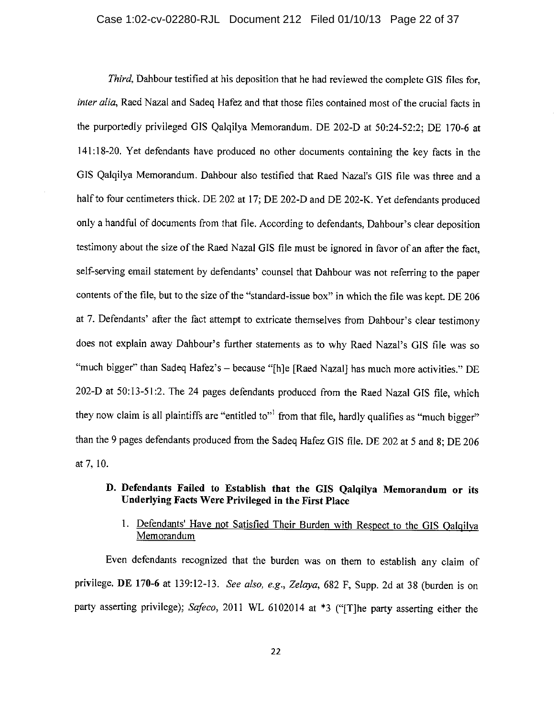Third. Dahbour testified at his deposition that he had reviewed the complete GIS files for, *inter alia*, Raed Nazal and Sadeq Hafez and that those files contained most of the crucial facts in the purportedly privileged GIS Oalqilya Memorandum. DE 202-D at 50:24-52:2; DE 170-6 at 141:18-20. Yet defendants have produced no other documents containing the key facts in the GIS Qalqilya Memorandum. Dahbour also testified that Raed Nazal's GIS file was three and a half to four centimeters thick. DE 202 at 17; DE 202-D and DE 202-K. Yet defendants produced only a handful of documents from that file. According to defendants, Dahbour's clear deposition testimony about the size of the Raed Nazal GIS file must be ignored in favor of an after the fact, self-serving email statement by defendants' counsel that Dahbour was not referring to the paper contents of the file, but to the size of the "standard-issue box" in which the file was kept. DE 206 at 7. Defendants' after the fact attempt to extricate themselves from Dahbour's clear testimony does not explain away Dahbour's further statements as to why Raed Nazal's GIS file was so "much bigger" than Sadeq Hafez's - because "[h]e [Raed Nazal] has much more activities." DE 202-D at 50:13-51:2. The 24 pages defendants produced from the Raed Nazal GIS file, which they now claim is all plaintiffs are "entitled to"<sup>1</sup> from that file, hardly qualifies as "much bigger" than the 9 pages defendants produced from the Sadeq Hafez GIS file. DE 202 at 5 and 8; DE 206 at 7, 10.

### D. Defendants Failed to Establish that the GIS Qalqilya Memorandum or its Underlying Facts Were Privileged in the First Place

### 1. Defendants' Have not Satisfied Their Burden with Respect to the GIS Qalqilya Memorandum

Even defendants recognized that the burden was on them to establish any claim of privilege. DE 170-6 at 139:12-13. See also, e.g., Zelaya, 682 F, Supp. 2d at 38 (burden is on party asserting privilege); Safeco, 2011 WL 6102014 at \*3 ("[T]he party asserting either the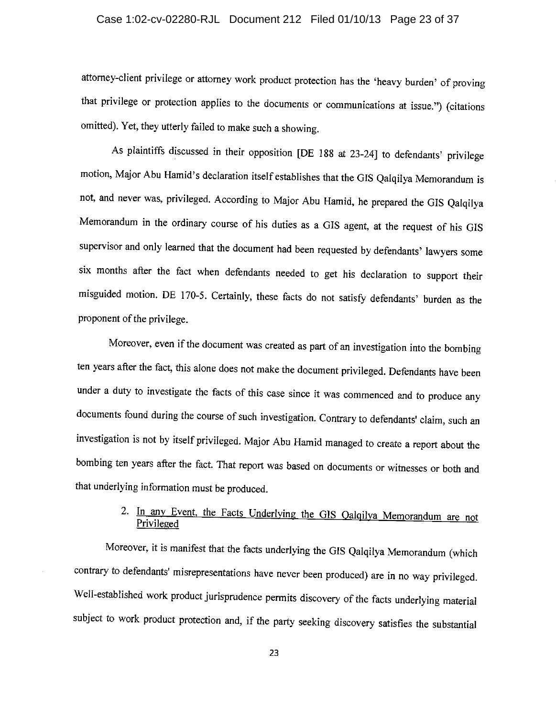### Case 1:02-cv-02280-RJL Document 212 Filed 01/10/13 Page 23 of 37

attorney-client privilege or attorney work product protection has the 'heavy burden' of proving that privilege or protection applies to the documents or communications at issue.") (citations omitted). Yet, they utterly failed to make such a showing.

As plaintiffs discussed in their opposition [DE 188 at 23-24] to defendants' privilege motion, Major Abu Hamid's declaration itself establishes that the GIS Qalqilya Memorandum is not, and never was, privileged. According to Major Abu Hamid, he prepared the GIS Qalqilya Memorandum in the ordinary course of his duties as a GIS agent, at the request of his GIS supervisor and only learned that the document had been requested by defendants' lawyers some six months after the fact when defendants needed to get his declaration to support their misguided motion. DE 170-5. Certainly, these facts do not satisfy defendants' burden as the proponent of the privilege.

Moreover, even if the document was created as part of an investigation into the bombing ten years after the fact, this alone does not make the document privileged. Defendants have been under a duty to investigate the facts of this case since it was commenced and to produce any documents found during the course of such investigation. Contrary to defendants' claim, such an investigation is not by itself privileged. Major Abu Hamid managed to create a report about the bombing ten years after the fact. That report was based on documents or witnesses or both and that underlying information must be produced.

### 2. In any Event, the Facts Underlying the GIS Qalqilya Memorandum are not Privileged

Moreover, it is manifest that the facts underlying the GIS Qalqilya Memorandum (which contrary to defendants' misrepresentations have never been produced) are in no way privileged. Well-established work product jurisprudence permits discovery of the facts underlying material subject to work product protection and, if the party seeking discovery satisfies the substantial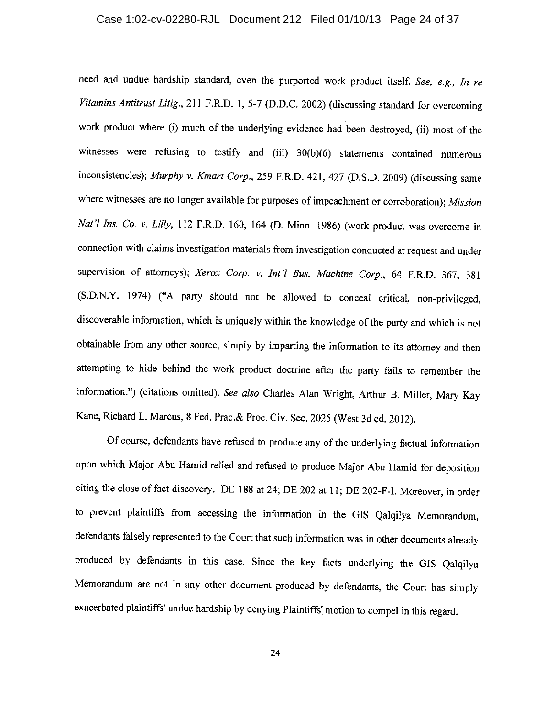need and undue hardship standard, even the purported work product itself. See, e.g., In re Vitamins Antitrust Litig., 211 F.R.D. 1, 5-7 (D.D.C. 2002) (discussing standard for overcoming work product where (i) much of the underlying evidence had been destroyed, (ii) most of the witnesses were refusing to testify and (iii) 30(b)(6) statements contained numerous inconsistencies); Murphy v. Kmart Corp., 259 F.R.D. 421, 427 (D.S.D. 2009) (discussing same where witnesses are no longer available for purposes of impeachment or corroboration); Mission Nat'l Ins. Co. v. Lilly, 112 F.R.D. 160, 164 (D. Minn. 1986) (work product was overcome in connection with claims investigation materials from investigation conducted at request and under supervision of attorneys); Xerox Corp. v. Int'l Bus. Machine Corp., 64 F.R.D. 367, 381 (S.D.N.Y. 1974) ("A party should not be allowed to conceal critical, non-privileged, discoverable information, which is uniquely within the knowledge of the party and which is not obtainable from any other source, simply by imparting the information to its attorney and then attempting to hide behind the work product doctrine after the party fails to remember the information.") (citations omitted). See also Charles Alan Wright, Arthur B. Miller, Mary Kay Kane, Richard L. Marcus, 8 Fed. Prac. & Proc. Civ. Sec. 2025 (West 3d ed. 2012).

Of course, defendants have refused to produce any of the underlying factual information upon which Major Abu Hamid relied and refused to produce Major Abu Hamid for deposition citing the close of fact discovery. DE 188 at 24; DE 202 at 11; DE 202-F-I. Moreover, in order to prevent plaintiffs from accessing the information in the GIS Qalqilya Memorandum, defendants falsely represented to the Court that such information was in other documents already produced by defendants in this case. Since the key facts underlying the GIS Qalqilya Memorandum are not in any other document produced by defendants, the Court has simply exacerbated plaintiffs' undue hardship by denying Plaintiffs' motion to compel in this regard.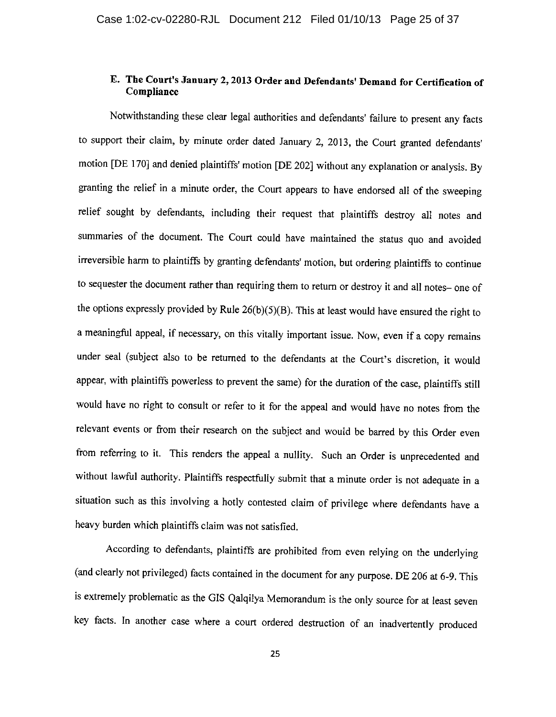### E. The Court's January 2, 2013 Order and Defendants' Demand for Certification of Compliance

Notwithstanding these clear legal authorities and defendants' failure to present any facts to support their claim, by minute order dated January 2, 2013, the Court granted defendants' motion [DE 170] and denied plaintiffs' motion [DE 202] without any explanation or analysis. By granting the relief in a minute order, the Court appears to have endorsed all of the sweeping relief sought by defendants, including their request that plaintiffs destroy all notes and summaries of the document. The Court could have maintained the status quo and avoided irreversible harm to plaintiffs by granting defendants' motion, but ordering plaintiffs to continue to sequester the document rather than requiring them to return or destroy it and all notes- one of the options expressly provided by Rule  $26(b)(5)(B)$ . This at least would have ensured the right to a meaningful appeal, if necessary, on this vitally important issue. Now, even if a copy remains under seal (subject also to be returned to the defendants at the Court's discretion, it would appear, with plaintiffs powerless to prevent the same) for the duration of the case, plaintiffs still would have no right to consult or refer to it for the appeal and would have no notes from the relevant events or from their research on the subject and would be barred by this Order even from referring to it. This renders the appeal a nullity. Such an Order is unprecedented and without lawful authority. Plaintiffs respectfully submit that a minute order is not adequate in a situation such as this involving a hotly contested claim of privilege where defendants have a heavy burden which plaintiffs claim was not satisfied.

According to defendants, plaintiffs are prohibited from even relying on the underlying (and clearly not privileged) facts contained in the document for any purpose. DE 206 at 6-9. This is extremely problematic as the GIS Qalqilya Memorandum is the only source for at least seven key facts. In another case where a court ordered destruction of an inadvertently produced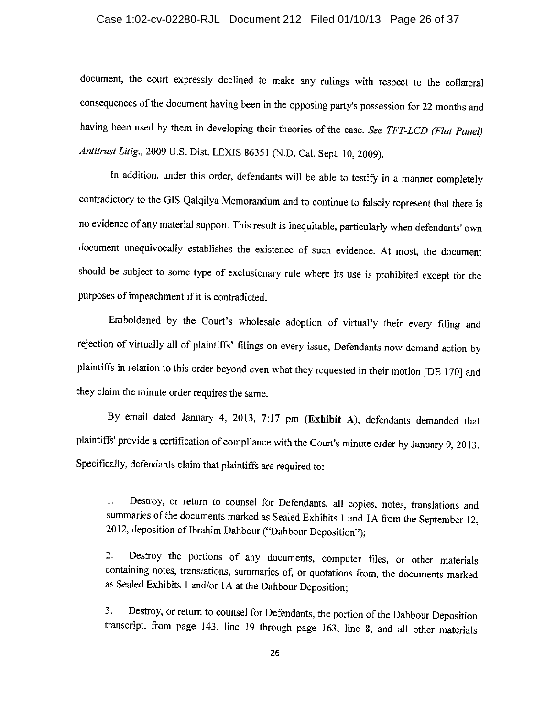### Case 1:02-cv-02280-RJL Document 212 Filed 01/10/13 Page 26 of 37

document, the court expressly declined to make any rulings with respect to the collateral consequences of the document having been in the opposing party's possession for 22 months and having been used by them in developing their theories of the case. See TFT-LCD (Flat Panel) Antitrust Litig., 2009 U.S. Dist. LEXIS 86351 (N.D. Cal. Sept. 10, 2009).

In addition, under this order, defendants will be able to testify in a manner completely contradictory to the GIS Qalqilya Memorandum and to continue to falsely represent that there is no evidence of any material support. This result is inequitable, particularly when defendants' own document unequivocally establishes the existence of such evidence. At most, the document should be subject to some type of exclusionary rule where its use is prohibited except for the purposes of impeachment if it is contradicted.

Emboldened by the Court's wholesale adoption of virtually their every filing and rejection of virtually all of plaintiffs' filings on every issue, Defendants now demand action by plaintiffs in relation to this order beyond even what they requested in their motion [DE 170] and they claim the minute order requires the same.

By email dated January 4, 2013, 7:17 pm (Exhibit A), defendants demanded that plaintiffs' provide a certification of compliance with the Court's minute order by January 9, 2013. Specifically, defendants claim that plaintiffs are required to:

Destroy, or return to counsel for Defendants, all copies, notes, translations and  $\mathbf{1}$ . summaries of the documents marked as Sealed Exhibits 1 and IA from the September 12, 2012, deposition of Ibrahim Dahbour ("Dahbour Deposition");

Destroy the portions of any documents, computer files, or other materials  $2.$ containing notes, translations, summaries of, or quotations from, the documents marked as Sealed Exhibits 1 and/or 1A at the Dahbour Deposition;

Destroy, or return to counsel for Defendants, the portion of the Dahbour Deposition  $3.$ transcript, from page 143, line 19 through page 163, line 8, and all other materials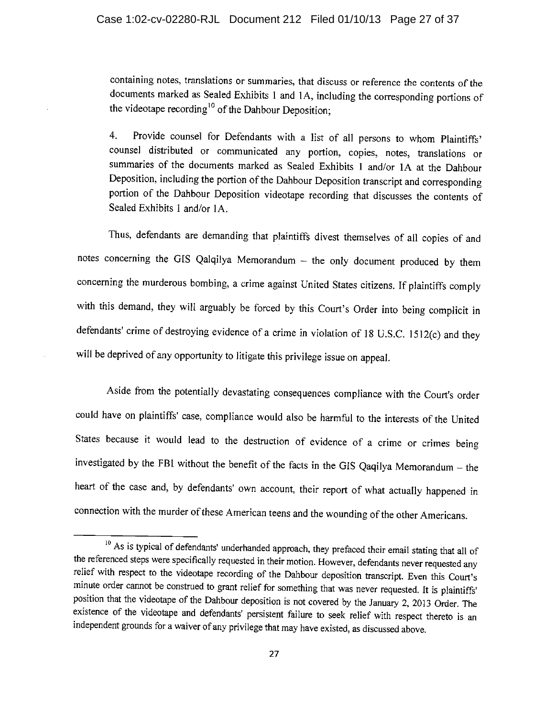containing notes, translations or summaries, that discuss or reference the contents of the documents marked as Sealed Exhibits 1 and 1A, including the corresponding portions of the videotape recording<sup>10</sup> of the Dahbour Deposition:

Provide counsel for Defendants with a list of all persons to whom Plaintiffs' 4. counsel distributed or communicated any portion, copies, notes, translations or summaries of the documents marked as Sealed Exhibits 1 and/or 1A at the Dahbour Deposition, including the portion of the Dahbour Deposition transcript and corresponding portion of the Dahbour Deposition videotape recording that discusses the contents of Sealed Exhibits 1 and/or 1A.

Thus, defendants are demanding that plaintiffs divest themselves of all copies of and notes concerning the GIS Qalqilya Memorandum - the only document produced by them concerning the murderous bombing, a crime against United States citizens. If plaintiffs comply with this demand, they will arguably be forced by this Court's Order into being complicit in defendants' crime of destroying evidence of a crime in violation of 18 U.S.C. 1512(c) and they will be deprived of any opportunity to litigate this privilege issue on appeal.

Aside from the potentially devastating consequences compliance with the Court's order could have on plaintiffs' case, compliance would also be harmful to the interests of the United States because it would lead to the destruction of evidence of a crime or crimes being investigated by the FBI without the benefit of the facts in the GIS Qaqilya Memorandum - the heart of the case and, by defendants' own account, their report of what actually happened in connection with the murder of these American teens and the wounding of the other Americans.

<sup>&</sup>lt;sup>10</sup> As is typical of defendants' underhanded approach, they prefaced their email stating that all of the referenced steps were specifically requested in their motion. However, defendants never requested any relief with respect to the videotape recording of the Dahbour deposition transcript. Even this Court's minute order cannot be construed to grant relief for something that was never requested. It is plaintiffs' position that the videotape of the Dahbour deposition is not covered by the January 2, 2013 Order. The existence of the videotape and defendants' persistent failure to seek relief with respect thereto is an independent grounds for a waiver of any privilege that may have existed, as discussed above.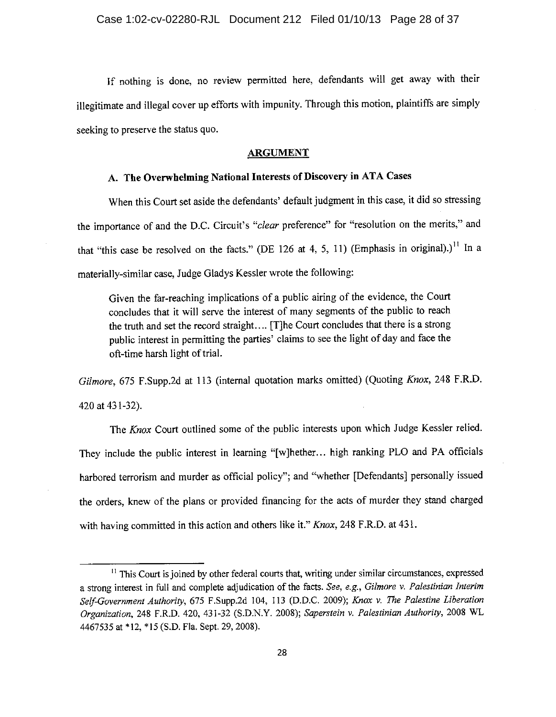If nothing is done, no review permitted here, defendants will get away with their illegitimate and illegal cover up efforts with impunity. Through this motion, plaintiffs are simply seeking to preserve the status quo.

#### **ARGUMENT**

### A. The Overwhelming National Interests of Discovery in ATA Cases

When this Court set aside the defendants' default judgment in this case, it did so stressing the importance of and the D.C. Circuit's "clear preference" for "resolution on the merits," and that "this case be resolved on the facts." (DE 126 at 4, 5, 11) (Emphasis in original).)<sup>11</sup> In a materially-similar case, Judge Gladys Kessler wrote the following:

Given the far-reaching implications of a public airing of the evidence, the Court concludes that it will serve the interest of many segments of the public to reach the truth and set the record straight.... [T]he Court concludes that there is a strong public interest in permitting the parties' claims to see the light of day and face the oft-time harsh light of trial.

Gilmore, 675 F.Supp.2d at 113 (internal quotation marks omitted) (Quoting Knox, 248 F.R.D. 420 at 431-32).

The Knox Court outlined some of the public interests upon which Judge Kessler relied. They include the public interest in learning "[w]hether... high ranking PLO and PA officials harbored terrorism and murder as official policy"; and "whether [Defendants] personally issued the orders, knew of the plans or provided financing for the acts of murder they stand charged with having committed in this action and others like it." Knox, 248 F.R.D. at 431.

<sup>&</sup>lt;sup>11</sup> This Court is joined by other federal courts that, writing under similar circumstances, expressed a strong interest in full and complete adjudication of the facts. See, e.g., Gilmore v. Palestinian Interim Self-Government Authority, 675 F.Supp.2d 104, 113 (D.D.C. 2009); Knox v. The Palestine Liberation Organization, 248 F.R.D. 420, 431-32 (S.D.N.Y. 2008); Saperstein v. Palestinian Authority, 2008 WL 4467535 at \*12, \*15 (S.D. Fla. Sept. 29, 2008).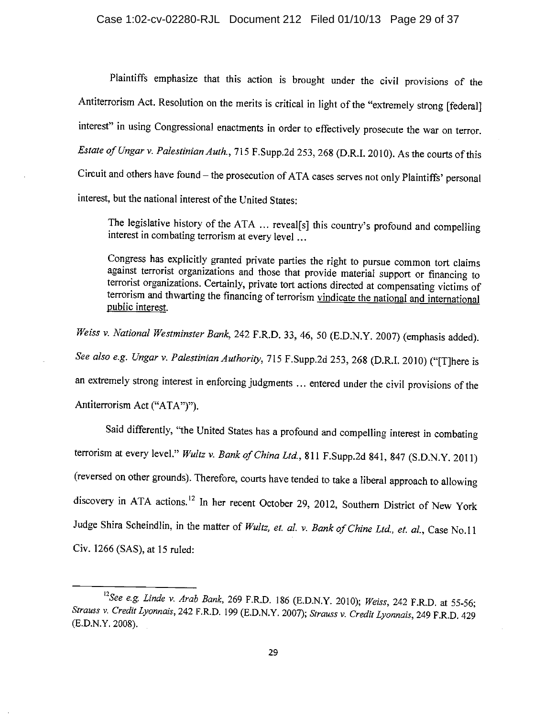Plaintiffs emphasize that this action is brought under the civil provisions of the Antiterrorism Act. Resolution on the merits is critical in light of the "extremely strong [federal] interest" in using Congressional enactments in order to effectively prosecute the war on terror. Estate of Ungar v. Palestinian Auth., 715 F.Supp.2d 253, 268 (D.R.I. 2010). As the courts of this Circuit and others have found - the prosecution of ATA cases serves not only Plaintiffs' personal interest, but the national interest of the United States:

The legislative history of the ATA ... reveal[s] this country's profound and compelling interest in combating terrorism at every level ...

Congress has explicitly granted private parties the right to pursue common tort claims against terrorist organizations and those that provide material support or financing to terrorist organizations. Certainly, private tort actions directed at compensating victims of terrorism and thwarting the financing of terrorism vindicate the national and international public interest.

Weiss v. National Westminster Bank, 242 F.R.D. 33, 46, 50 (E.D.N.Y. 2007) (emphasis added). See also e.g. Ungar v. Palestinian Authority, 715 F.Supp.2d 253, 268 (D.R.I. 2010) ("[T]here is an extremely strong interest in enforcing judgments ... entered under the civil provisions of the Antiterrorism Act ("ATA")").

Said differently, "the United States has a profound and compelling interest in combating terrorism at every level." Wultz v. Bank of China Ltd., 811 F.Supp.2d 841, 847 (S.D.N.Y. 2011) (reversed on other grounds). Therefore, courts have tended to take a liberal approach to allowing discovery in ATA actions.<sup>12</sup> In her recent October 29, 2012, Southern District of New York Judge Shira Scheindlin, in the matter of Wultz, et. al. v. Bank of Chine Ltd., et. al., Case No.11 Civ. 1266 (SAS), at 15 ruled:

<sup>&</sup>lt;sup>12</sup>See e.g. Linde v. Arab Bank, 269 F.R.D. 186 (E.D.N.Y. 2010); Weiss, 242 F.R.D. at 55-56; Strauss v. Credit Lyonnais, 242 F.R.D. 199 (E.D.N.Y. 2007); Strauss v. Credit Lyonnais, 249 F.R.D. 429 (E.D.N.Y. 2008).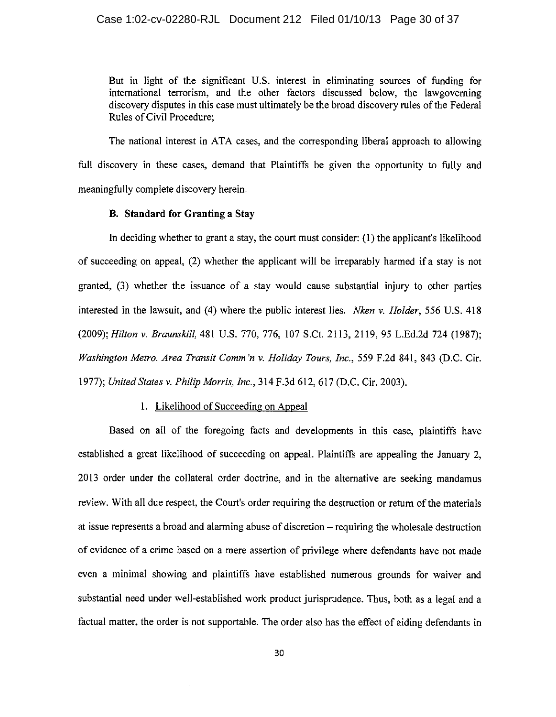But in light of the significant U.S. interest in eliminating sources of funding for international terrorism, and the other factors discussed below, the lawgoverning discovery disputes in this case must ultimately be the broad discovery rules of the Federal Rules of Civil Procedure:

The national interest in ATA cases, and the corresponding liberal approach to allowing full discovery in these cases, demand that Plaintiffs be given the opportunity to fully and meaningfully complete discovery herein.

#### **B.** Standard for Granting a Stay

In deciding whether to grant a stay, the court must consider:  $(1)$  the applicant's likelihood of succeeding on appeal, (2) whether the applicant will be irreparably harmed if a stay is not granted, (3) whether the issuance of a stay would cause substantial injury to other parties interested in the lawsuit, and (4) where the public interest lies. *Nken v. Holder*, 556 U.S. 418 (2009); Hilton v. Braunskill, 481 U.S. 770, 776, 107 S.Ct. 2113, 2119, 95 L.Ed.2d 724 (1987); Washington Metro. Area Transit Comm'n v. Holiday Tours, Inc., 559 F.2d 841, 843 (D.C. Cir. 1977); United States v. Philip Morris, Inc., 314 F.3d 612, 617 (D.C. Cir. 2003).

#### 1. Likelihood of Succeeding on Appeal

Based on all of the foregoing facts and developments in this case, plaintiffs have established a great likelihood of succeeding on appeal. Plaintiffs are appealing the January 2, 2013 order under the collateral order doctrine, and in the alternative are seeking mandamus review. With all due respect, the Court's order requiring the destruction or return of the materials at issue represents a broad and alarming abuse of discretion – requiring the wholesale destruction of evidence of a crime based on a mere assertion of privilege where defendants have not made even a minimal showing and plaintiffs have established numerous grounds for waiver and substantial need under well-established work product jurisprudence. Thus, both as a legal and a factual matter, the order is not supportable. The order also has the effect of aiding defendants in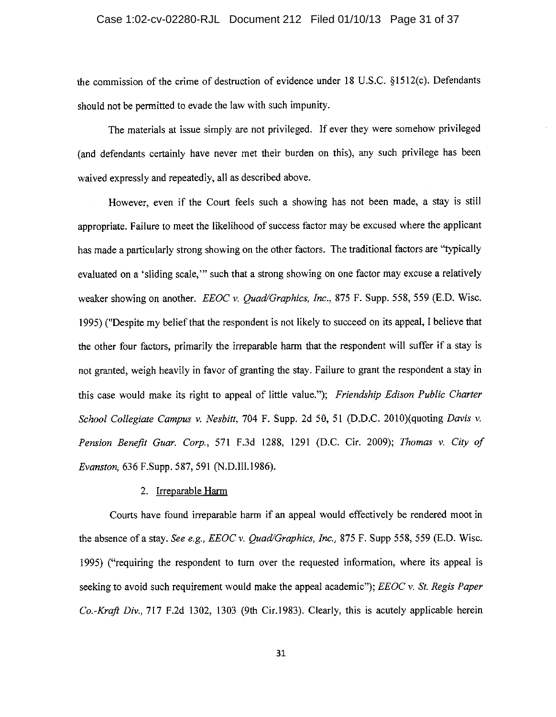### Case 1:02-cv-02280-RJL Document 212 Filed 01/10/13 Page 31 of 37

the commission of the crime of destruction of evidence under 18 U.S.C. §1512(c). Defendants should not be permitted to evade the law with such impunity.

The materials at issue simply are not privileged. If ever they were somehow privileged (and defendants certainly have never met their burden on this), any such privilege has been waived expressly and repeatedly, all as described above.

However, even if the Court feels such a showing has not been made, a stay is still appropriate. Failure to meet the likelihood of success factor may be excused where the applicant has made a particularly strong showing on the other factors. The traditional factors are "typically evaluated on a 'sliding scale," such that a strong showing on one factor may excuse a relatively weaker showing on another. EEOC v. Ouad/Graphics, Inc., 875 F. Supp. 558, 559 (E.D. Wisc. 1995) ("Despite my belief that the respondent is not likely to succeed on its appeal, I believe that the other four factors, primarily the irreparable harm that the respondent will suffer if a stay is not granted, weigh heavily in favor of granting the stay. Failure to grant the respondent a stay in this case would make its right to appeal of little value."); Friendship Edison Public Charter School Collegiate Campus v. Nesbitt, 704 F. Supp. 2d 50, 51 (D.D.C. 2010)(quoting Davis v. Pension Benefit Guar. Corp., 571 F.3d 1288, 1291 (D.C. Cir. 2009); Thomas v. City of Evanston, 636 F.Supp. 587, 591 (N.D.Ill.1986).

### 2. Irreparable Harm

Courts have found irreparable harm if an appeal would effectively be rendered moot in the absence of a stay. See e.g., EEOC v. Quad/Graphics, Inc., 875 F. Supp 558, 559 (E.D. Wisc. 1995) ("requiring the respondent to turn over the requested information, where its appeal is seeking to avoid such requirement would make the appeal academic");  $EEOC v$ . St. Regis Paper Co.-Kraft Div., 717 F.2d 1302, 1303 (9th Cir.1983). Clearly, this is acutely applicable herein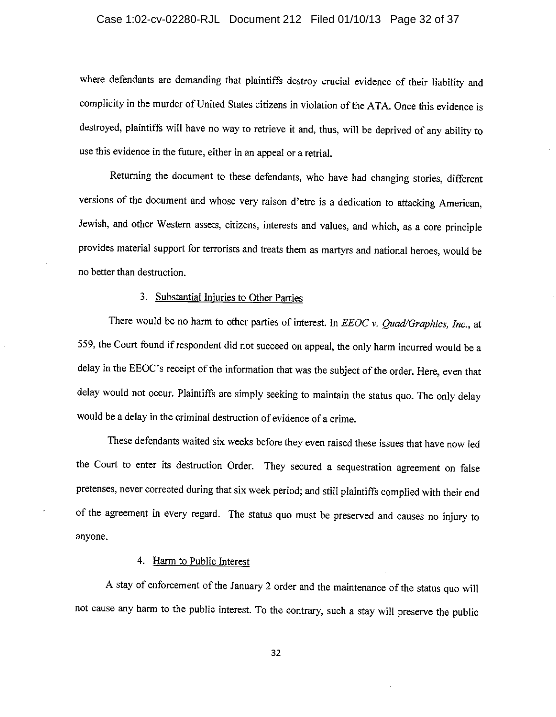### Case 1:02-cv-02280-RJL Document 212 Filed 01/10/13 Page 32 of 37

where defendants are demanding that plaintiffs destroy crucial evidence of their liability and complicity in the murder of United States citizens in violation of the ATA. Once this evidence is destroyed, plaintiffs will have no way to retrieve it and, thus, will be deprived of any ability to use this evidence in the future, either in an appeal or a retrial.

Returning the document to these defendants, who have had changing stories, different versions of the document and whose very raison d'etre is a dedication to attacking American, Jewish, and other Western assets, citizens, interests and values, and which, as a core principle provides material support for terrorists and treats them as martyrs and national heroes, would be no better than destruction.

#### 3. Substantial Injuries to Other Parties

There would be no harm to other parties of interest. In EEOC v. Quad/Graphics, Inc., at 559, the Court found if respondent did not succeed on appeal, the only harm incurred would be a delay in the EEOC's receipt of the information that was the subject of the order. Here, even that delay would not occur. Plaintiffs are simply seeking to maintain the status quo. The only delay would be a delay in the criminal destruction of evidence of a crime.

These defendants waited six weeks before they even raised these issues that have now led the Court to enter its destruction Order. They secured a sequestration agreement on false pretenses, never corrected during that six week period; and still plaintiffs complied with their end of the agreement in every regard. The status quo must be preserved and causes no injury to anyone.

#### 4. Harm to Public Interest

A stay of enforcement of the January 2 order and the maintenance of the status quo will not cause any harm to the public interest. To the contrary, such a stay will preserve the public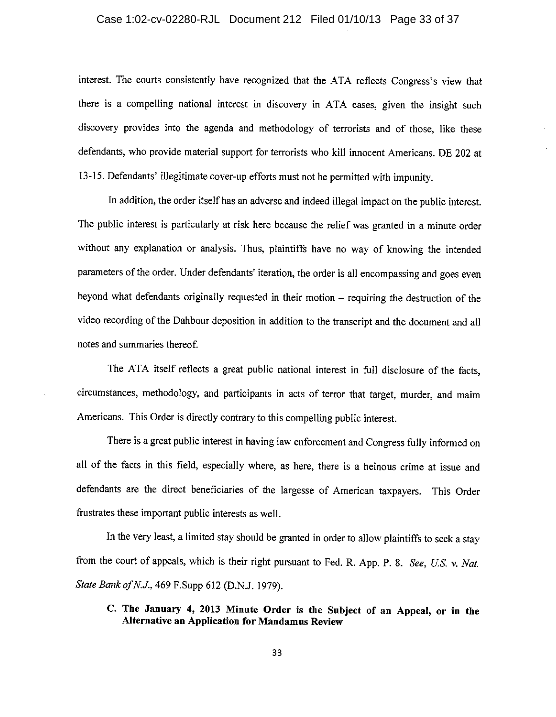### Case 1:02-cv-02280-RJL Document 212 Filed 01/10/13 Page 33 of 37

interest. The courts consistently have recognized that the ATA reflects Congress's view that there is a compelling national interest in discovery in ATA cases, given the insight such discovery provides into the agenda and methodology of terrorists and of those, like these defendants, who provide material support for terrorists who kill innocent Americans. DE 202 at 13-15. Defendants' illegitimate cover-up efforts must not be permitted with impunity.

In addition, the order itself has an adverse and indeed illegal impact on the public interest. The public interest is particularly at risk here because the relief was granted in a minute order without any explanation or analysis. Thus, plaintiffs have no way of knowing the intended parameters of the order. Under defendants' iteration, the order is all encompassing and goes even beyond what defendants originally requested in their motion - requiring the destruction of the video recording of the Dahbour deposition in addition to the transcript and the document and all notes and summaries thereof.

The ATA itself reflects a great public national interest in full disclosure of the facts. circumstances, methodology, and participants in acts of terror that target, murder, and maim Americans. This Order is directly contrary to this compelling public interest.

There is a great public interest in having law enforcement and Congress fully informed on all of the facts in this field, especially where, as here, there is a heinous crime at issue and defendants are the direct beneficiaries of the largesse of American taxpayers. This Order frustrates these important public interests as well.

In the very least, a limited stay should be granted in order to allow plaintiffs to seek a stay from the court of appeals, which is their right pursuant to Fed. R. App. P. 8. See, U.S. v. Nat. State Bank of N.J., 469 F.Supp 612 (D.N.J. 1979).

### C. The January 4, 2013 Minute Order is the Subject of an Appeal, or in the **Alternative an Application for Mandamus Review**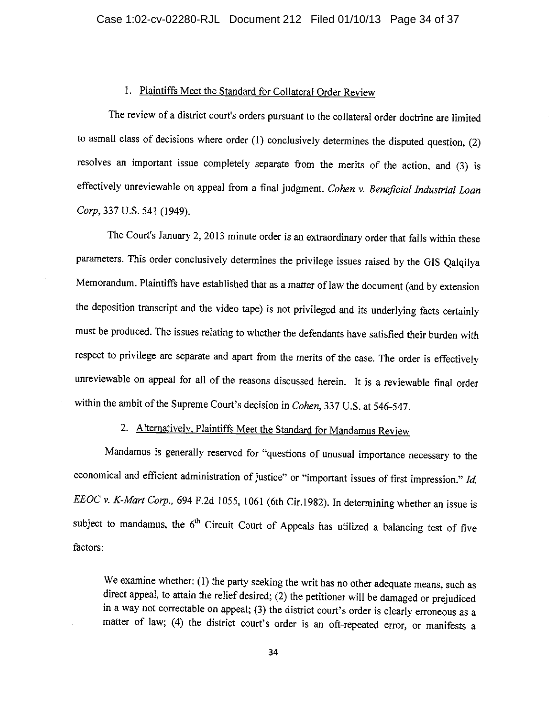### 1. Plaintiffs Meet the Standard for Collateral Order Review

The review of a district court's orders pursuant to the collateral order doctrine are limited to asmall class of decisions where order  $(1)$  conclusively determines the disputed question,  $(2)$ resolves an important issue completely separate from the merits of the action, and (3) is effectively unreviewable on appeal from a final judgment. Cohen v. Beneficial Industrial Loan Corp. 337 U.S. 541 (1949).

The Court's January 2, 2013 minute order is an extraordinary order that falls within these parameters. This order conclusively determines the privilege issues raised by the GIS Qalqilya Memorandum. Plaintiffs have established that as a matter of law the document (and by extension the deposition transcript and the video tape) is not privileged and its underlying facts certainly must be produced. The issues relating to whether the defendants have satisfied their burden with respect to privilege are separate and apart from the merits of the case. The order is effectively unreviewable on appeal for all of the reasons discussed herein. It is a reviewable final order within the ambit of the Supreme Court's decision in Cohen, 337 U.S. at 546-547.

# 2. Alternatively, Plaintiffs Meet the Standard for Mandamus Review

Mandamus is generally reserved for "questions of unusual importance necessary to the economical and efficient administration of justice" or "important issues of first impression." Id. EEOC v. K-Mart Corp., 694 F.2d 1055, 1061 (6th Cir.1982). In determining whether an issue is subject to mandamus, the  $6<sup>th</sup>$  Circuit Court of Appeals has utilized a balancing test of five factors:

We examine whether: (1) the party seeking the writ has no other adequate means, such as direct appeal, to attain the relief desired; (2) the petitioner will be damaged or prejudiced in a way not correctable on appeal; (3) the district court's order is clearly erroneous as a matter of law; (4) the district court's order is an oft-repeated error, or manifests a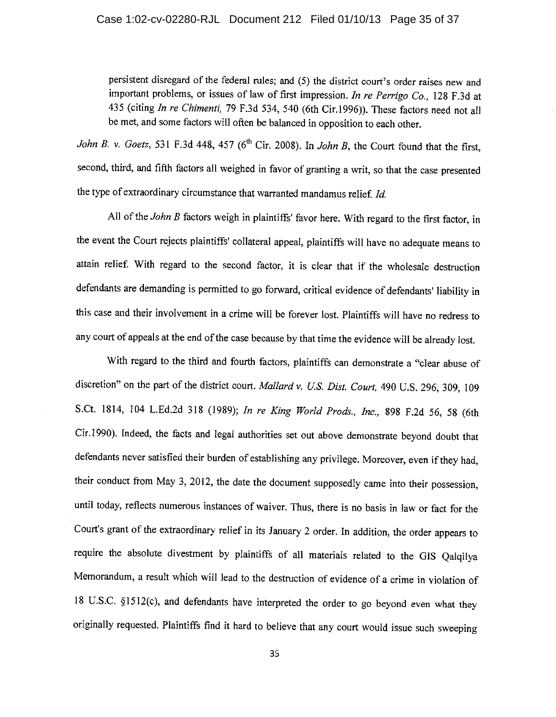### Case 1:02-cv-02280-RJL Document 212 Filed 01/10/13 Page 35 of 37

persistent disregard of the federal rules; and (5) the district court's order raises new and important problems, or issues of law of first impression. In re Perrigo Co., 128 F.3d at 435 (citing In re Chimenti, 79 F.3d 534, 540 (6th Cir.1996)). These factors need not all be met, and some factors will often be balanced in opposition to each other.

John B. v. Goetz, 531 F.3d 448, 457 ( $6^{th}$  Cir. 2008). In John B, the Court found that the first, second, third, and fifth factors all weighed in favor of granting a writ, so that the case presented the type of extraordinary circumstance that warranted mandamus relief. Id.

All of the John B factors weigh in plaintiffs' favor here. With regard to the first factor, in the event the Court rejects plaintiffs' collateral appeal, plaintiffs will have no adequate means to attain relief. With regard to the second factor, it is clear that if the wholesale destruction defendants are demanding is permitted to go forward, critical evidence of defendants' liability in this case and their involvement in a crime will be forever lost. Plaintiffs will have no redress to any court of appeals at the end of the case because by that time the evidence will be already lost.

With regard to the third and fourth factors, plaintiffs can demonstrate a "clear abuse of discretion" on the part of the district court. Mallard v. U.S. Dist. Court, 490 U.S. 296, 309, 109 S.Ct. 1814, 104 L.Ed.2d 318 (1989); In re King World Prods., Inc., 898 F.2d 56, 58 (6th Cir.1990). Indeed, the facts and legal authorities set out above demonstrate beyond doubt that defendants never satisfied their burden of establishing any privilege. Moreover, even if they had, their conduct from May 3, 2012, the date the document supposedly came into their possession, until today, reflects numerous instances of waiver. Thus, there is no basis in law or fact for the Court's grant of the extraordinary relief in its January 2 order. In addition, the order appears to require the absolute divestment by plaintiffs of all materials related to the GIS Qalqilya Memorandum, a result which will lead to the destruction of evidence of a crime in violation of 18 U.S.C. §1512(c), and defendants have interpreted the order to go beyond even what they originally requested. Plaintiffs find it hard to believe that any court would issue such sweeping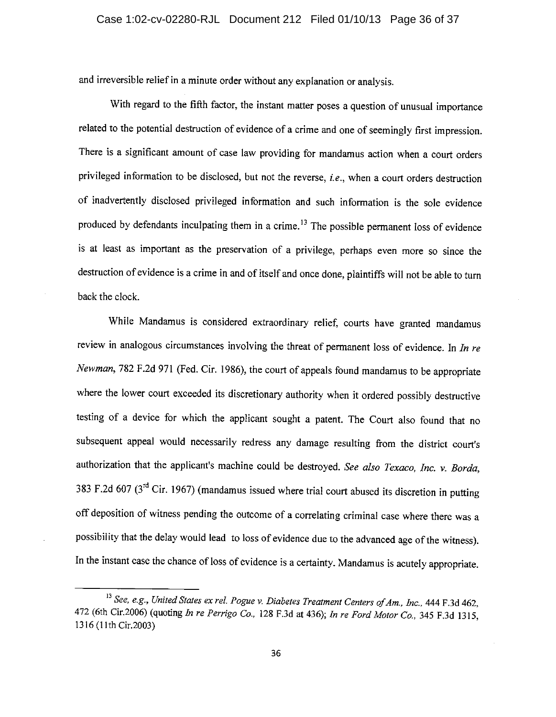and irreversible relief in a minute order without any explanation or analysis.

With regard to the fifth factor, the instant matter poses a question of unusual importance related to the potential destruction of evidence of a crime and one of seemingly first impression. There is a significant amount of case law providing for mandamus action when a court orders privileged information to be disclosed, but not the reverse, i.e., when a court orders destruction of inadvertently disclosed privileged information and such information is the sole evidence produced by defendants inculpating them in a crime.<sup>13</sup> The possible permanent loss of evidence is at least as important as the preservation of a privilege, perhaps even more so since the destruction of evidence is a crime in and of itself and once done, plaintiffs will not be able to turn back the clock.

While Mandamus is considered extraordinary relief, courts have granted mandamus review in analogous circumstances involving the threat of permanent loss of evidence. In In re Newman, 782 F.2d 971 (Fed. Cir. 1986), the court of appeals found mandamus to be appropriate where the lower court exceeded its discretionary authority when it ordered possibly destructive testing of a device for which the applicant sought a patent. The Court also found that no subsequent appeal would necessarily redress any damage resulting from the district court's authorization that the applicant's machine could be destroyed. See also Texaco, Inc. v. Borda, 383 F.2d 607 ( $3<sup>rd</sup>$  Cir. 1967) (mandamus issued where trial court abused its discretion in putting off deposition of witness pending the outcome of a correlating criminal case where there was a possibility that the delay would lead to loss of evidence due to the advanced age of the witness). In the instant case the chance of loss of evidence is a certainty. Mandamus is acutely appropriate.

<sup>&</sup>lt;sup>13</sup> See, e.g., United States ex rel. Pogue v. Diabetes Treatment Centers of Am., Inc., 444 F.3d 462, 472 (6th Cir.2006) (quoting In re Perrigo Co., 128 F.3d at 436); In re Ford Motor Co., 345 F.3d 1315, 1316 (11th Cir.2003)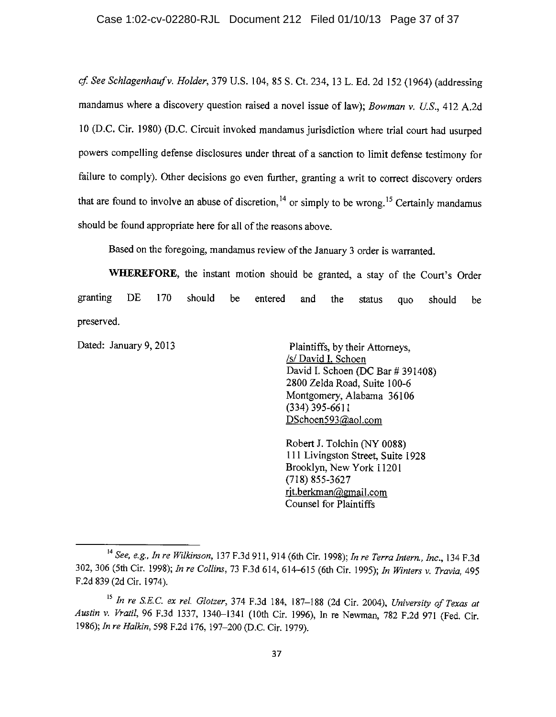cf. See Schlagenhauf v. Holder, 379 U.S. 104, 85 S. Ct. 234, 13 L. Ed. 2d 152 (1964) (addressing mandamus where a discovery question raised a novel issue of law); Bowman v. U.S., 412 A.2d 10 (D.C. Cir. 1980) (D.C. Circuit invoked mandamus jurisdiction where trial court had usurped powers compelling defense disclosures under threat of a sanction to limit defense testimony for failure to comply). Other decisions go even further, granting a writ to correct discovery orders that are found to involve an abuse of discretion,  $14$  or simply to be wrong.<sup>15</sup> Certainly mandamus should be found appropriate here for all of the reasons above.

Based on the foregoing, mandamus review of the January 3 order is warranted.

WHEREFORE, the instant motion should be granted, a stay of the Court's Order granting **DE** 170 should be entered and the status quo should be preserved.

Dated: January 9, 2013

Plaintiffs, by their Attorneys, /s/ David I. Schoen David I. Schoen (DC Bar # 391408) 2800 Zelda Road, Suite 100-6 Montgomery, Alabama 36106  $(334)$  395-6611 DSchoen593@aol.com

Robert J. Tolchin (NY 0088) 111 Livingston Street, Suite 1928 Brooklyn, New York 11201  $(718) 855 - 3627$ rit.berkman@gmail.com Counsel for Plaintiffs

<sup>&</sup>lt;sup>14</sup> See, e.g., In re Wilkinson, 137 F.3d 911, 914 (6th Cir. 1998); In re Terra Intern., Inc., 134 F.3d 302, 306 (5th Cir. 1998); In re Collins, 73 F.3d 614, 614-615 (6th Cir. 1995); In Winters v. Travia, 495 F.2d 839 (2d Cir. 1974).

<sup>&</sup>lt;sup>15</sup> In re S.E.C. ex rel. Glotzer, 374 F.3d 184, 187-188 (2d Cir. 2004), University of Texas at Austin v. Vratil, 96 F.3d 1337, 1340-1341 (10th Cir. 1996), In re Newman, 782 F.2d 971 (Fed. Cir. 1986); In re Halkin, 598 F.2d 176, 197-200 (D.C. Cir. 1979).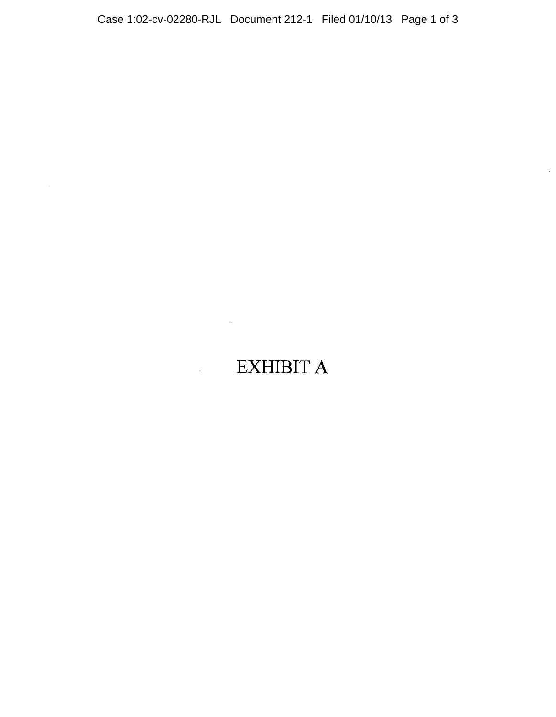Case 1:02-cv-02280-RJL Document 212-1 Filed 01/10/13 Page 1 of 3

 $\mathcal{A}^{\mathcal{A}}$ 

 $\bar{z}$ 

# **EXHIBIT A**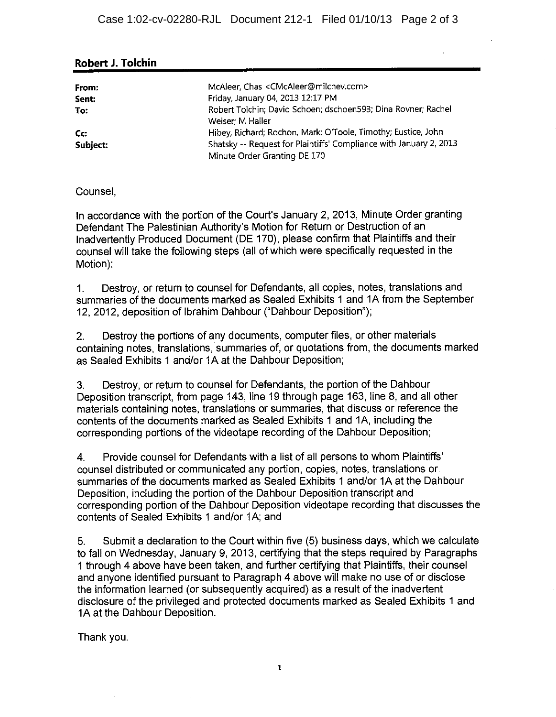| From:    | McAleer, Chas <cmcaleer@milchev.com></cmcaleer@milchev.com>                       |
|----------|-----------------------------------------------------------------------------------|
| Sent:    | Friday, January 04, 2013 12:17 PM                                                 |
| To:      | Robert Tolchin; David Schoen; dschoen593; Dina Rovner; Rachel<br>Weiser: M Haller |
| Cc:      | Hibey, Richard; Rochon, Mark; O'Toole, Timothy; Eustice, John                     |
| Subject: | Shatsky -- Request for Plaintiffs' Compliance with January 2, 2013                |
|          | Minute Order Granting DE 170                                                      |

### Robert J. Tolchin

### Counsel.

In accordance with the portion of the Court's January 2, 2013, Minute Order granting Defendant The Palestinian Authority's Motion for Return or Destruction of an Inadvertently Produced Document (DE 170), please confirm that Plaintiffs and their counsel will take the following steps (all of which were specifically requested in the Motion):

Destroy, or return to counsel for Defendants, all copies, notes, translations and  $1<sub>1</sub>$ summaries of the documents marked as Sealed Exhibits 1 and 1A from the September 12, 2012, deposition of Ibrahim Dahbour ("Dahbour Deposition");

Destroy the portions of any documents, computer files, or other materials  $2.$ containing notes, translations, summaries of, or quotations from, the documents marked as Sealed Exhibits 1 and/or 1A at the Dahbour Deposition;

Destroy, or return to counsel for Defendants, the portion of the Dahbour  $3<sub>1</sub>$ Deposition transcript, from page 143, line 19 through page 163, line 8, and all other materials containing notes, translations or summaries, that discuss or reference the contents of the documents marked as Sealed Exhibits 1 and 1A, including the corresponding portions of the videotape recording of the Dahbour Deposition;

Provide counsel for Defendants with a list of all persons to whom Plaintiffs'  $\overline{4}$ counsel distributed or communicated any portion, copies, notes, translations or summaries of the documents marked as Sealed Exhibits 1 and/or 1A at the Dahbour Deposition, including the portion of the Dahbour Deposition transcript and corresponding portion of the Dahbour Deposition videotape recording that discusses the contents of Sealed Exhibits 1 and/or 1A; and

5. Submit a declaration to the Court within five (5) business days, which we calculate to fall on Wednesday, January 9, 2013, certifying that the steps required by Paragraphs 1 through 4 above have been taken, and further certifying that Plaintiffs, their counsel and anyone identified pursuant to Paragraph 4 above will make no use of or disclose the information learned (or subsequently acquired) as a result of the inadvertent disclosure of the privileged and protected documents marked as Sealed Exhibits 1 and 1A at the Dahbour Deposition.

Thank you.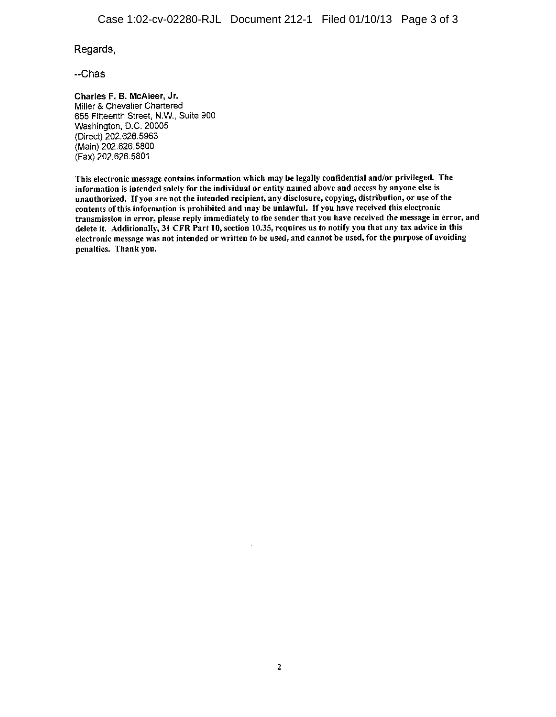Regards,

--Chas

Charles F. B. McAleer, Jr. Miller & Chevalier Chartered 655 Fifteenth Street, N.W., Suite 900 Washington, D.C. 20005 (Direct) 202.626.5963 (Main) 202.626.5800 (Fax) 202.626.5801

This electronic message contains information which may be legally confidential and/or privileged. The information is intended solely for the individual or entity named above and access by anyone else is unauthorized. If you are not the intended recipient, any disclosure, copying, distribution, or use of the contents of this information is prohibited and may be unlawful. If you have received this electronic transmission in error, please reply immediately to the sender that you have received the message in error, and delete it. Additionally, 31 CFR Part 10, section 10.35, requires us to notify you that any tax advice in this electronic message was not intended or written to be used, and cannot be used, for the purpose of avoiding penalties. Thank you.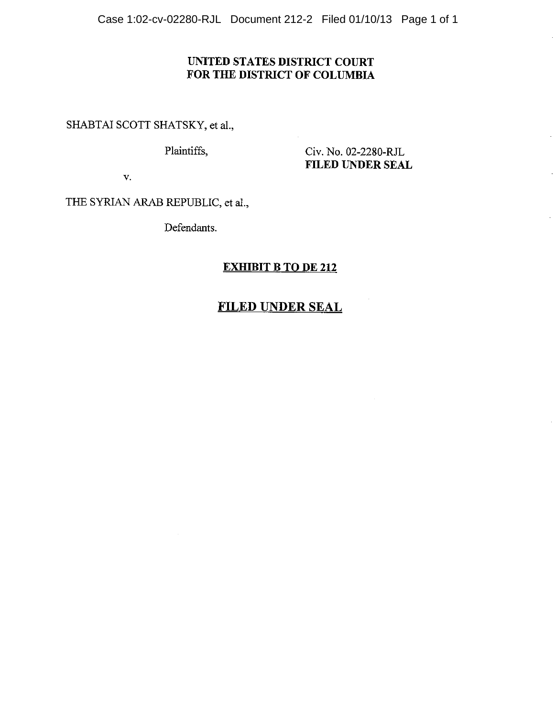Case 1:02-cv-02280-RJL Document 212-2 Filed 01/10/13 Page 1 of 1

### UNITED STATES DISTRICT COURT FOR THE DISTRICT OF COLUMBIA

SHABTAI SCOTT SHATSKY, et al.,

Plaintiffs,

Civ. No. 02-2280-RJL **FILED UNDER SEAL** 

 $\mathbf{v}$ .

THE SYRIAN ARAB REPUBLIC, et al.,

Defendants.

### **EXHIBIT B TO DE 212**

## **FILED UNDER SEAL**